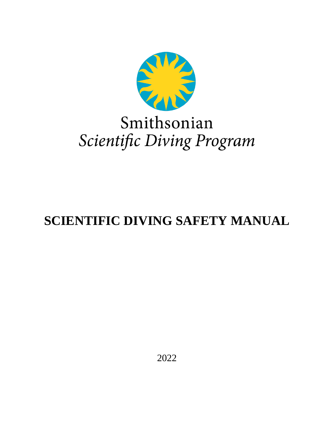

# Smithsonian Scientific Diving Program

# **SCIENTIFIC DIVING SAFETY MANUAL**

2022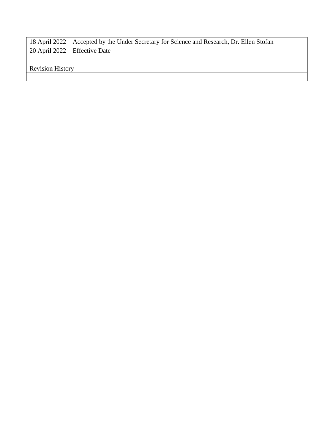18 April 2022 – Accepted by the Under Secretary for Science and Research, Dr. Ellen Stofan 20 April 2022 – Effective Date

Revision History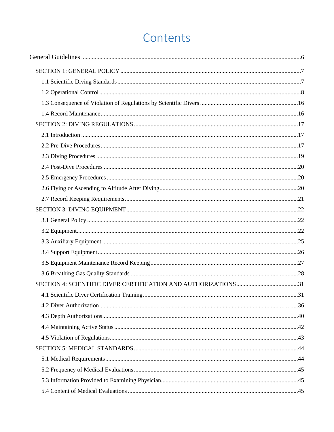# Contents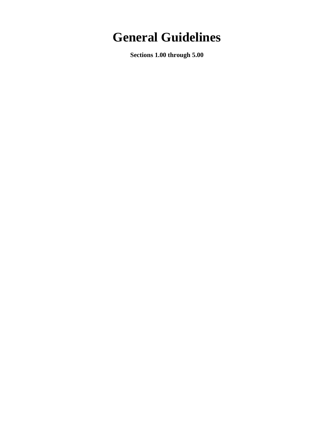# <span id="page-5-0"></span>**General Guidelines**

**Sections 1.00 through 5.00**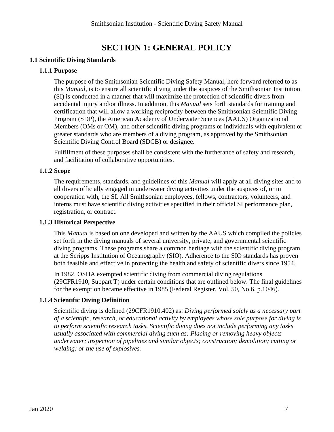# **SECTION 1: GENERAL POLICY**

# <span id="page-6-1"></span><span id="page-6-0"></span>**1.1 Scientific Diving Standards**

# **1.1.1 Purpose**

The purpose of the Smithsonian Scientific Diving Safety Manual, here forward referred to as this *Manual*, is to ensure all scientific diving under the auspices of the Smithsonian Institution (SI) is conducted in a manner that will maximize the protection of scientific divers from accidental injury and/or illness. In addition, this *Manual* sets forth standards for training and certification that will allow a working reciprocity between the Smithsonian Scientific Diving Program (SDP), the American Academy of Underwater Sciences (AAUS) Organizational Members (OMs or OM), and other scientific diving programs or individuals with equivalent or greater standards who are members of a diving program, as approved by the Smithsonian Scientific Diving Control Board (SDCB) or designee.

Fulfillment of these purposes shall be consistent with the furtherance of safety and research, and facilitation of collaborative opportunities.

### **1.1.2 Scope**

The requirements, standards, and guidelines of this *Manual* will apply at all diving sites and to all divers officially engaged in underwater diving activities under the auspices of, or in cooperation with, the SI. All Smithsonian employees, fellows, contractors, volunteers, and interns must have scientific diving activities specified in their official SI performance plan, registration, or contract.

#### **1.1.3 Historical Perspective**

This *Manual* is based on one developed and written by the AAUS which compiled the policies set forth in the diving manuals of several university, private, and governmental scientific diving programs. These programs share a common heritage with the scientific diving program at the Scripps Institution of Oceanography (SIO). Adherence to the SIO standards has proven both feasible and effective in protecting the health and safety of scientific divers since 1954.

In 1982, OSHA exempted scientific diving from commercial diving regulations (29CFR1910, Subpart T) under certain conditions that are outlined below. The final guidelines for the exemption became effective in 1985 (Federal Register, Vol. 50, No.6, p.1046).

# **1.1.4 Scientific Diving Definition**

Scientific diving is defined (29CFR1910.402) as: *Diving performed solely as a necessary part of a scientific, research, or educational activity by employees whose sole purpose for diving is to perform scientific research tasks. Scientific diving does not include performing any tasks usually associated with commercial diving such as: Placing or removing heavy objects underwater; inspection of pipelines and similar objects; construction; demolition; cutting or welding; or the use of explosives.*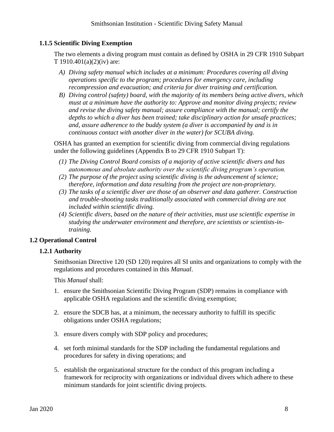# **1.1.5 Scientific Diving Exemption**

The two elements a diving program must contain as defined by OSHA in 29 CFR 1910 Subpart T 1910.401(a)(2)(iv) are:

- *A) Diving safety manual which includes at a minimum: Procedures covering all diving operations specific to the program; procedures for emergency care, including recompression and evacuation; and criteria for diver training and certification.*
- *B) Diving control (safety) board, with the majority of its members being active divers, which must at a minimum have the authority to: Approve and monitor diving projects; review and revise the diving safety manual; assure compliance with the manual; certify the depths to which a diver has been trained; take disciplinary action for unsafe practices; and, assure adherence to the buddy system (a diver is accompanied by and is in continuous contact with another diver in the water) for SCUBA diving.*

OSHA has granted an exemption for scientific diving from commercial diving regulations under the following guidelines (Appendix B to 29 CFR 1910 Subpart T):

- *(1) The Diving Control Board consists of a majority of active scientific divers and has autonomous and absolute authority over the scientific diving program's operation.*
- *(2) The purpose of the project using scientific diving is the advancement of science; therefore, information and data resulting from the project are non-proprietary.*
- *(3) The tasks of a scientific diver are those of an observer and data gatherer. Construction and trouble-shooting tasks traditionally associated with commercial diving are not included within scientific diving.*
- *(4) Scientific divers, based on the nature of their activities, must use scientific expertise in studying the underwater environment and therefore, are scientists or scientists-intraining.*

# <span id="page-7-0"></span>**1.2 Operational Control**

# **1.2.1 Authority**

Smithsonian Directive 120 (SD 120) requires all SI units and organizations to comply with the regulations and procedures contained in this *Manual*.

This *Manual* shall:

- 1. ensure the Smithsonian Scientific Diving Program (SDP) remains in compliance with applicable OSHA regulations and the scientific diving exemption;
- 2. ensure the SDCB has, at a minimum, the necessary authority to fulfill its specific obligations under OSHA regulations;
- 3. ensure divers comply with SDP policy and procedures;
- 4. set forth minimal standards for the SDP including the fundamental regulations and procedures for safety in diving operations; and
- 5. establish the organizational structure for the conduct of this program including a framework for reciprocity with organizations or individual divers which adhere to these minimum standards for joint scientific diving projects.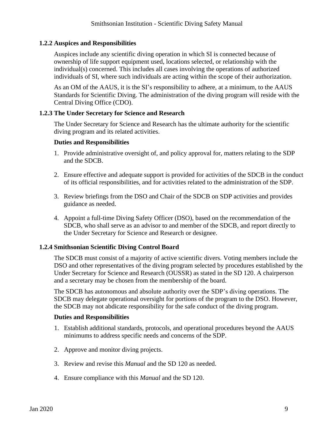# **1.2.2 Auspices and Responsibilities**

Auspices include any scientific diving operation in which SI is connected because of ownership of life support equipment used, locations selected, or relationship with the individual(s) concerned. This includes all cases involving the operations of authorized individuals of SI, where such individuals are acting within the scope of their authorization.

As an OM of the AAUS, it is the SI's responsibility to adhere, at a minimum, to the AAUS Standards for Scientific Diving. The administration of the diving program will reside with the Central Diving Office (CDO).

#### **1.2.3 The Under Secretary for Science and Research**

The Under Secretary for Science and Research has the ultimate authority for the scientific diving program and its related activities.

### **Duties and Responsibilities**

- 1. Provide administrative oversight of, and policy approval for, matters relating to the SDP and the SDCB.
- 2. Ensure effective and adequate support is provided for activities of the SDCB in the conduct of its official responsibilities, and for activities related to the administration of the SDP.
- 3. Review briefings from the DSO and Chair of the SDCB on SDP activities and provides guidance as needed.
- 4. Appoint a full-time Diving Safety Officer (DSO), based on the recommendation of the SDCB, who shall serve as an advisor to and member of the SDCB, and report directly to the Under Secretary for Science and Research or designee.

# **1.2.4 Smithsonian Scientific Diving Control Board**

The SDCB must consist of a majority of active scientific divers. Voting members include the DSO and other representatives of the diving program selected by procedures established by the Under Secretary for Science and Research (OUSSR) as stated in the SD 120. A chairperson and a secretary may be chosen from the membership of the board.

The SDCB has autonomous and absolute authority over the SDP's diving operations. The SDCB may delegate operational oversight for portions of the program to the DSO. However, the SDCB may not abdicate responsibility for the safe conduct of the diving program.

- 1. Establish additional standards, protocols, and operational procedures beyond the AAUS minimums to address specific needs and concerns of the SDP.
- 2. Approve and monitor diving projects.
- 3. Review and revise this *Manual* and the SD 120 as needed.
- 4. Ensure compliance with this *Manual* and the SD 120.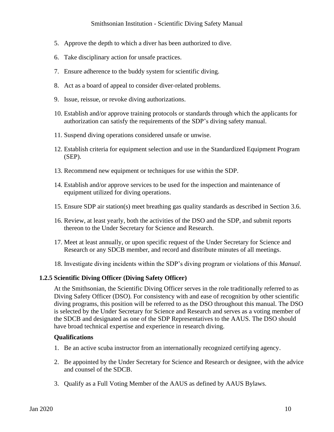# Smithsonian Institution - Scientific Diving Safety Manual

- 5. Approve the depth to which a diver has been authorized to dive.
- 6. Take disciplinary action for unsafe practices.
- 7. Ensure adherence to the buddy system for scientific diving.
- 8. Act as a board of appeal to consider diver-related problems.
- 9. Issue, reissue, or revoke diving authorizations.
- 10. Establish and/or approve training protocols or standards through which the applicants for authorization can satisfy the requirements of the SDP's diving safety manual.
- 11. Suspend diving operations considered unsafe or unwise.
- 12. Establish criteria for equipment selection and use in the Standardized Equipment Program (SEP).
- 13. Recommend new equipment or techniques for use within the SDP.
- 14. Establish and/or approve services to be used for the inspection and maintenance of equipment utilized for diving operations.
- 15. Ensure SDP air station(s) meet breathing gas quality standards as described in Section 3.6.
- 16. Review, at least yearly, both the activities of the DSO and the SDP, and submit reports thereon to the Under Secretary for Science and Research.
- 17. Meet at least annually, or upon specific request of the Under Secretary for Science and Research or any SDCB member, and record and distribute minutes of all meetings.
- 18. Investigate diving incidents within the SDP's diving program or violations of this *Manual*.

#### **1.2.5 Scientific Diving Officer (Diving Safety Officer)**

At the Smithsonian, the Scientific Diving Officer serves in the role traditionally referred to as Diving Safety Officer (DSO). For consistency with and ease of recognition by other scientific diving programs, this position will be referred to as the DSO throughout this manual. The DSO is selected by the Under Secretary for Science and Research and serves as a voting member of the SDCB and designated as one of the SDP Representatives to the AAUS. The DSO should have broad technical expertise and experience in research diving.

#### **Qualifications**

- 1. Be an active scuba instructor from an internationally recognized certifying agency.
- 2. Be appointed by the Under Secretary for Science and Research or designee, with the advice and counsel of the SDCB.
- 3. Qualify as a Full Voting Member of the AAUS as defined by AAUS Bylaws.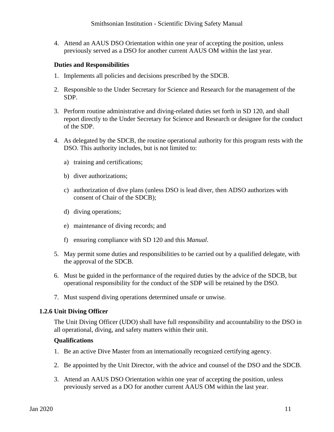4. Attend an AAUS DSO Orientation within one year of accepting the position, unless previously served as a DSO for another current AAUS OM within the last year.

# **Duties and Responsibilities**

- 1. Implements all policies and decisions prescribed by the SDCB.
- 2. Responsible to the Under Secretary for Science and Research for the management of the SDP.
- 3. Perform routine administrative and diving-related duties set forth in SD 120, and shall report directly to the Under Secretary for Science and Research or designee for the conduct of the SDP.
- 4. As delegated by the SDCB, the routine operational authority for this program rests with the DSO. This authority includes, but is not limited to:
	- a) training and certifications;
	- b) diver authorizations;
	- c) authorization of dive plans (unless DSO is lead diver, then ADSO authorizes with consent of Chair of the SDCB);
	- d) diving operations;
	- e) maintenance of diving records; and
	- f) ensuring compliance with SD 120 and this *Manual*.
- 5. May permit some duties and responsibilities to be carried out by a qualified delegate, with the approval of the SDCB.
- 6. Must be guided in the performance of the required duties by the advice of the SDCB, but operational responsibility for the conduct of the SDP will be retained by the DSO.
- 7. Must suspend diving operations determined unsafe or unwise.

# **1.2.6 Unit Diving Officer**

The Unit Diving Officer (UDO) shall have full responsibility and accountability to the DSO in all operational, diving, and safety matters within their unit.

# **Qualifications**

- 1. Be an active Dive Master from an internationally recognized certifying agency.
- 2. Be appointed by the Unit Director, with the advice and counsel of the DSO and the SDCB.
- 3. Attend an AAUS DSO Orientation within one year of accepting the position, unless previously served as a DO for another current AAUS OM within the last year.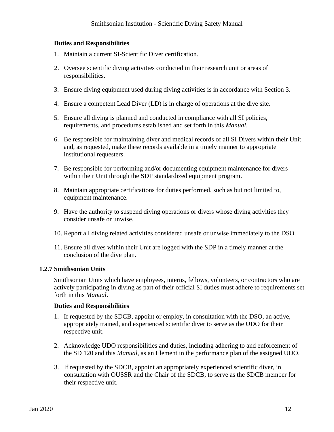## **Duties and Responsibilities**

- 1. Maintain a current SI-Scientific Diver certification.
- 2. Oversee scientific diving activities conducted in their research unit or areas of responsibilities.
- 3. Ensure diving equipment used during diving activities is in accordance with Section 3.
- 4. Ensure a competent Lead Diver (LD) is in charge of operations at the dive site.
- 5. Ensure all diving is planned and conducted in compliance with all SI policies, requirements, and procedures established and set forth in this *Manual*.
- 6. Be responsible for maintaining diver and medical records of all SI Divers within their Unit and, as requested, make these records available in a timely manner to appropriate institutional requesters.
- 7. Be responsible for performing and/or documenting equipment maintenance for divers within their Unit through the SDP standardized equipment program.
- 8. Maintain appropriate certifications for duties performed, such as but not limited to, equipment maintenance.
- 9. Have the authority to suspend diving operations or divers whose diving activities they consider unsafe or unwise.
- 10. Report all diving related activities considered unsafe or unwise immediately to the DSO.
- 11. Ensure all dives within their Unit are logged with the SDP in a timely manner at the conclusion of the dive plan.

#### **1.2.7 Smithsonian Units**

Smithsonian Units which have employees, interns, fellows, volunteers, or contractors who are actively participating in diving as part of their official SI duties must adhere to requirements set forth in this *Manual*.

- 1. If requested by the SDCB, appoint or employ, in consultation with the DSO, an active, appropriately trained, and experienced scientific diver to serve as the UDO for their respective unit.
- 2. Acknowledge UDO responsibilities and duties, including adhering to and enforcement of the SD 120 and this *Manual*, as an Element in the performance plan of the assigned UDO.
- 3. If requested by the SDCB, appoint an appropriately experienced scientific diver, in consultation with OUSSR and the Chair of the SDCB, to serve as the SDCB member for their respective unit.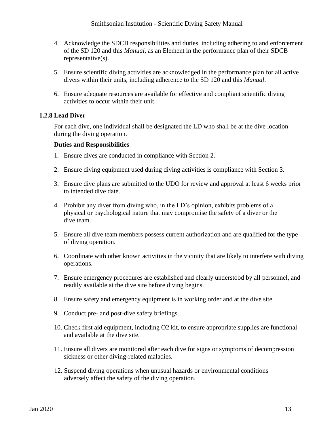- 4. Acknowledge the SDCB responsibilities and duties, including adhering to and enforcement of the SD 120 and this *Manual*, as an Element in the performance plan of their SDCB representative(s).
- 5. Ensure scientific diving activities are acknowledged in the performance plan for all active divers within their units, including adherence to the SD 120 and this *Manual*.
- 6. Ensure adequate resources are available for effective and compliant scientific diving activities to occur within their unit.

### **1.2.8 Lead Diver**

For each dive, one individual shall be designated the LD who shall be at the dive location during the diving operation.

- 1. Ensure dives are conducted in compliance with Section 2.
- 2. Ensure diving equipment used during diving activities is compliance with Section 3.
- 3. Ensure dive plans are submitted to the UDO for review and approval at least 6 weeks prior to intended dive date.
- 4. Prohibit any diver from diving who, in the LD's opinion, exhibits problems of a physical or psychological nature that may compromise the safety of a diver or the dive team.
- 5. Ensure all dive team members possess current authorization and are qualified for the type of diving operation.
- 6. Coordinate with other known activities in the vicinity that are likely to interfere with diving operations.
- 7. Ensure emergency procedures are established and clearly understood by all personnel, and readily available at the dive site before diving begins.
- 8. Ensure safety and emergency equipment is in working order and at the dive site.
- 9. Conduct pre- and post-dive safety briefings.
- 10. Check first aid equipment, including O2 kit, to ensure appropriate supplies are functional and available at the dive site.
- 11. Ensure all divers are monitored after each dive for signs or symptoms of decompression sickness or other diving-related maladies.
- 12. Suspend diving operations when unusual hazards or environmental conditions adversely affect the safety of the diving operation.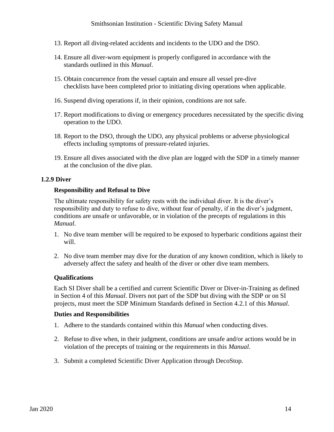# Smithsonian Institution - Scientific Diving Safety Manual

- 13. Report all diving-related accidents and incidents to the UDO and the DSO.
- 14. Ensure all diver-worn equipment is properly configured in accordance with the standards outlined in this *Manual*.
- 15. Obtain concurrence from the vessel captain and ensure all vessel pre-dive checklists have been completed prior to initiating diving operations when applicable.
- 16. Suspend diving operations if, in their opinion, conditions are not safe.
- 17. Report modifications to diving or emergency procedures necessitated by the specific diving operation to the UDO.
- 18. Report to the DSO, through the UDO, any physical problems or adverse physiological effects including symptoms of pressure-related injuries.
- 19. Ensure all dives associated with the dive plan are logged with the SDP in a timely manner at the conclusion of the dive plan.

#### **1.2.9 Diver**

#### **Responsibility and Refusal to Dive**

The ultimate responsibility for safety rests with the individual diver. It is the diver's responsibility and duty to refuse to dive, without fear of penalty, if in the diver's judgment, conditions are unsafe or unfavorable, or in violation of the precepts of regulations in this *Manual*.

- 1. No dive team member will be required to be exposed to hyperbaric conditions against their will.
- 2. No dive team member may dive for the duration of any known condition, which is likely to adversely affect the safety and health of the diver or other dive team members.

#### **Qualifications**

Each SI Diver shall be a certified and current Scientific Diver or Diver-in-Training as defined in Section 4 of this *Manual*. Divers not part of the SDP but diving with the SDP or on SI projects, must meet the SDP Minimum Standards defined in Section 4.2.1 of this *Manual*.

- 1. Adhere to the standards contained within this *Manual* when conducting dives.
- 2. Refuse to dive when, in their judgment, conditions are unsafe and/or actions would be in violation of the precepts of training or the requirements in this *Manual*.
- 3. Submit a completed Scientific Diver Application through DecoStop.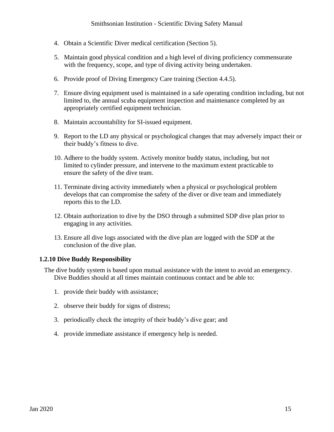- 4. Obtain a Scientific Diver medical certification (Section 5).
- 5. Maintain good physical condition and a high level of diving proficiency commensurate with the frequency, scope, and type of diving activity being undertaken.
- 6. Provide proof of Diving Emergency Care training (Section 4.4.5).
- 7. Ensure diving equipment used is maintained in a safe operating condition including, but not limited to, the annual scuba equipment inspection and maintenance completed by an appropriately certified equipment technician.
- 8. Maintain accountability for SI-issued equipment.
- 9. Report to the LD any physical or psychological changes that may adversely impact their or their buddy's fitness to dive.
- 10. Adhere to the buddy system. Actively monitor buddy status, including, but not limited to cylinder pressure, and intervene to the maximum extent practicable to ensure the safety of the dive team.
- 11. Terminate diving activity immediately when a physical or psychological problem develops that can compromise the safety of the diver or dive team and immediately reports this to the LD.
- 12. Obtain authorization to dive by the DSO through a submitted SDP dive plan prior to engaging in any activities.
- 13. Ensure all dive logs associated with the dive plan are logged with the SDP at the conclusion of the dive plan.

#### **1.2.10 Dive Buddy Responsibility**

The dive buddy system is based upon mutual assistance with the intent to avoid an emergency. Dive Buddies should at all times maintain continuous contact and be able to:

- 1. provide their buddy with assistance;
- 2. observe their buddy for signs of distress;
- 3. periodically check the integrity of their buddy's dive gear; and
- 4. provide immediate assistance if emergency help is needed.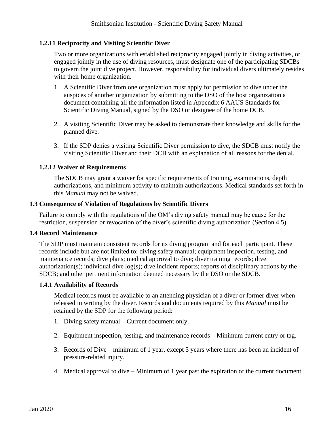# **1.2.11 Reciprocity and Visiting Scientific Diver**

Two or more organizations with established reciprocity engaged jointly in diving activities, or engaged jointly in the use of diving resources, must designate one of the participating SDCBs to govern the joint dive project. However, responsibility for individual divers ultimately resides with their home organization.

- 1. A Scientific Diver from one organization must apply for permission to dive under the auspices of another organization by submitting to the DSO of the host organization a document containing all the information listed in Appendix 6 AAUS Standards for Scientific Diving Manual, signed by the DSO or designee of the home DCB.
- 2. A visiting Scientific Diver may be asked to demonstrate their knowledge and skills for the planned dive.
- 3. If the SDP denies a visiting Scientific Diver permission to dive, the SDCB must notify the visiting Scientific Diver and their DCB with an explanation of all reasons for the denial.

# **1.2.12 Waiver of Requirements**

The SDCB may grant a waiver for specific requirements of training, examinations, depth authorizations, and minimum activity to maintain authorizations. Medical standards set forth in this *Manual* may not be waived.

# <span id="page-15-0"></span>**1.3 Consequence of Violation of Regulations by Scientific Divers**

Failure to comply with the regulations of the OM's diving safety manual may be cause for the restriction, suspension or revocation of the diver's scientific diving authorization (Section 4.5).

# <span id="page-15-1"></span>**1.4 Record Maintenance**

The SDP must maintain consistent records for its diving program and for each participant. These records include but are not limited to: diving safety manual; equipment inspection, testing, and maintenance records; dive plans; medical approval to dive; diver training records; diver authorization(s); individual dive log(s); dive incident reports; reports of disciplinary actions by the SDCB; and other pertinent information deemed necessary by the DSO or the SDCB.

# **1.4.1 Availability of Records**

Medical records must be available to an attending physician of a diver or former diver when released in writing by the diver. Records and documents required by this *Manual* must be retained by the SDP for the following period:

- 1. Diving safety manual Current document only.
- 2. Equipment inspection, testing, and maintenance records Minimum current entry or tag.
- 3. Records of Dive minimum of 1 year, except 5 years where there has been an incident of pressure-related injury.
- 4. Medical approval to dive Minimum of 1 year past the expiration of the current document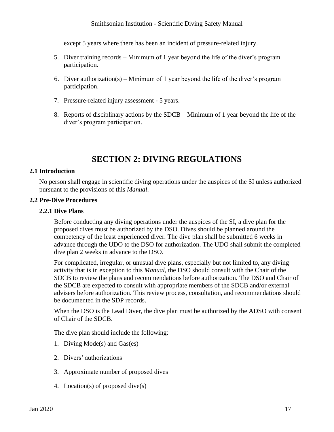# Smithsonian Institution - Scientific Diving Safety Manual

except 5 years where there has been an incident of pressure-related injury.

- 5. Diver training records Minimum of 1 year beyond the life of the diver's program participation.
- 6. Diver authorization(s) Minimum of 1 year beyond the life of the diver's program participation.
- 7. Pressure-related injury assessment 5 years.
- 8. Reports of disciplinary actions by the SDCB Minimum of 1 year beyond the life of the diver's program participation.

# **SECTION 2: DIVING REGULATIONS**

#### <span id="page-16-1"></span><span id="page-16-0"></span>**2.1 Introduction**

No person shall engage in scientific diving operations under the auspices of the SI unless authorized pursuant to the provisions of this *Manual*.

#### <span id="page-16-2"></span>**2.2 Pre-Dive Procedures**

#### **2.2.1 Dive Plans**

Before conducting any diving operations under the auspices of the SI, a dive plan for the proposed dives must be authorized by the DSO. Dives should be planned around the competency of the least experienced diver. The dive plan shall be submitted 6 weeks in advance through the UDO to the DSO for authorization. The UDO shall submit the completed dive plan 2 weeks in advance to the DSO.

For complicated, irregular, or unusual dive plans, especially but not limited to, any diving activity that is in exception to this *Manual*, the DSO should consult with the Chair of the SDCB to review the plans and recommendations before authorization. The DSO and Chair of the SDCB are expected to consult with appropriate members of the SDCB and/or external advisers before authorization. This review process, consultation, and recommendations should be documented in the SDP records.

When the DSO is the Lead Diver, the dive plan must be authorized by the ADSO with consent of Chair of the SDCB.

The dive plan should include the following:

- 1. Diving Mode(s) and Gas(es)
- 2. Divers' authorizations
- 3. Approximate number of proposed dives
- 4. Location(s) of proposed dive(s)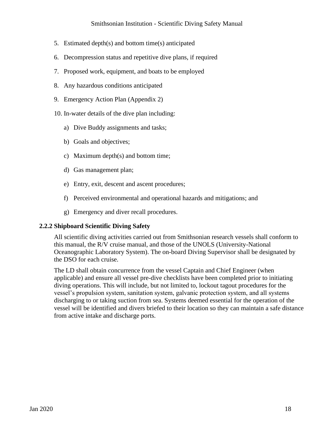# Smithsonian Institution - Scientific Diving Safety Manual

- 5. Estimated depth(s) and bottom time(s) anticipated
- 6. Decompression status and repetitive dive plans, if required
- 7. Proposed work, equipment, and boats to be employed
- 8. Any hazardous conditions anticipated
- 9. Emergency Action Plan (Appendix 2)
- 10. In-water details of the dive plan including:
	- a) Dive Buddy assignments and tasks;
	- b) Goals and objectives;
	- c) Maximum depth(s) and bottom time;
	- d) Gas management plan;
	- e) Entry, exit, descent and ascent procedures;
	- f) Perceived environmental and operational hazards and mitigations; and
	- g) Emergency and diver recall procedures.

#### **2.2.2 Shipboard Scientific Diving Safety**

All scientific diving activities carried out from Smithsonian research vessels shall conform to this manual, the R/V cruise manual, and those of the UNOLS (University-National Oceanographic Laboratory System). The on-board Diving Supervisor shall be designated by the DSO for each cruise.

The LD shall obtain concurrence from the vessel Captain and Chief Engineer (when applicable) and ensure all vessel pre-dive checklists have been completed prior to initiating diving operations. This will include, but not limited to, lockout tagout procedures for the vessel's propulsion system, sanitation system, galvanic protection system, and all systems discharging to or taking suction from sea. Systems deemed essential for the operation of the vessel will be identified and divers briefed to their location so they can maintain a safe distance from active intake and discharge ports.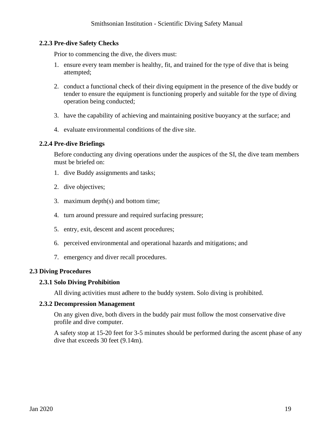## **2.2.3 Pre-dive Safety Checks**

Prior to commencing the dive, the divers must:

- 1. ensure every team member is healthy, fit, and trained for the type of dive that is being attempted;
- 2. conduct a functional check of their diving equipment in the presence of the dive buddy or tender to ensure the equipment is functioning properly and suitable for the type of diving operation being conducted;
- 3. have the capability of achieving and maintaining positive buoyancy at the surface; and
- 4. evaluate environmental conditions of the dive site.

#### **2.2.4 Pre-dive Briefings**

Before conducting any diving operations under the auspices of the SI, the dive team members must be briefed on:

- 1. dive Buddy assignments and tasks;
- 2. dive objectives;
- 3. maximum depth(s) and bottom time;
- 4. turn around pressure and required surfacing pressure;
- 5. entry, exit, descent and ascent procedures;
- 6. perceived environmental and operational hazards and mitigations; and
- 7. emergency and diver recall procedures.

#### <span id="page-18-0"></span>**2.3 Diving Procedures**

# **2.3.1 Solo Diving Prohibition**

All diving activities must adhere to the buddy system. Solo diving is prohibited.

#### **2.3.2 Decompression Management**

On any given dive, both divers in the buddy pair must follow the most conservative dive profile and dive computer.

A safety stop at 15-20 feet for 3-5 minutes should be performed during the ascent phase of any dive that exceeds 30 feet (9.14m).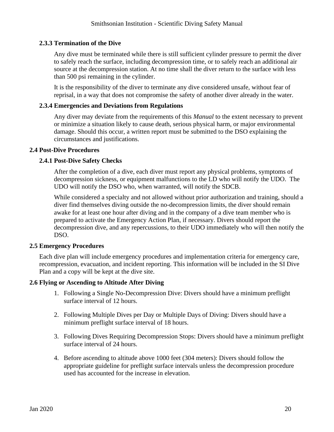# **2.3.3 Termination of the Dive**

Any dive must be terminated while there is still sufficient cylinder pressure to permit the diver to safely reach the surface, including decompression time, or to safely reach an additional air source at the decompression station. At no time shall the diver return to the surface with less than 500 psi remaining in the cylinder.

It is the responsibility of the diver to terminate any dive considered unsafe, without fear of reprisal, in a way that does not compromise the safety of another diver already in the water.

## **2.3.4 Emergencies and Deviations from Regulations**

Any diver may deviate from the requirements of this *Manual* to the extent necessary to prevent or minimize a situation likely to cause death, serious physical harm, or major environmental damage. Should this occur, a written report must be submitted to the DSO explaining the circumstances and justifications.

### <span id="page-19-0"></span>**2.4 Post-Dive Procedures**

# **2.4.1 Post-Dive Safety Checks**

After the completion of a dive, each diver must report any physical problems, symptoms of decompression sickness, or equipment malfunctions to the LD who will notify the UDO. The UDO will notify the DSO who, when warranted, will notify the SDCB.

While considered a specialty and not allowed without prior authorization and training, should a diver find themselves diving outside the no-decompression limits, the diver should remain awake for at least one hour after diving and in the company of a dive team member who is prepared to activate the Emergency Action Plan, if necessary. Divers should report the decompression dive, and any repercussions, to their UDO immediately who will then notify the DSO.

# <span id="page-19-1"></span>**2.5 Emergency Procedures**

Each dive plan will include emergency procedures and implementation criteria for emergency care, recompression, evacuation, and incident reporting. This information will be included in the SI Dive Plan and a copy will be kept at the dive site.

# <span id="page-19-2"></span>**2.6 Flying or Ascending to Altitude After Diving**

- 1. Following a Single No-Decompression Dive: Divers should have a minimum preflight surface interval of 12 hours.
- 2. Following Multiple Dives per Day or Multiple Days of Diving: Divers should have a minimum preflight surface interval of 18 hours.
- 3. Following Dives Requiring Decompression Stops: Divers should have a minimum preflight surface interval of 24 hours.
- 4. Before ascending to altitude above 1000 feet (304 meters): Divers should follow the appropriate guideline for preflight surface intervals unless the decompression procedure used has accounted for the increase in elevation.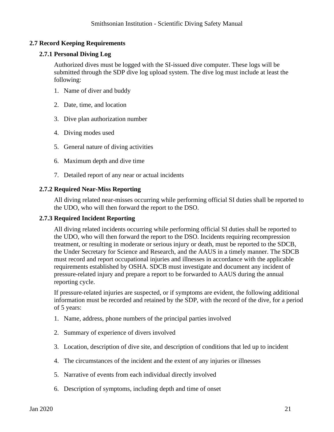# <span id="page-20-0"></span>**2.7 Record Keeping Requirements**

# **2.7.1 Personal Diving Log**

Authorized dives must be logged with the SI-issued dive computer. These logs will be submitted through the SDP dive log upload system. The dive log must include at least the following:

- 1. Name of diver and buddy
- 2. Date, time, and location
- 3. Dive plan authorization number
- 4. Diving modes used
- 5. General nature of diving activities
- 6. Maximum depth and dive time
- 7. Detailed report of any near or actual incidents

#### **2.7.2 Required Near-Miss Reporting**

All diving related near-misses occurring while performing official SI duties shall be reported to the UDO, who will then forward the report to the DSO.

#### **2.7.3 Required Incident Reporting**

All diving related incidents occurring while performing official SI duties shall be reported to the UDO, who will then forward the report to the DSO. Incidents requiring recompression treatment, or resulting in moderate or serious injury or death, must be reported to the SDCB, the Under Secretary for Science and Research, and the AAUS in a timely manner. The SDCB must record and report occupational injuries and illnesses in accordance with the applicable requirements established by OSHA. SDCB must investigate and document any incident of pressure-related injury and prepare a report to be forwarded to AAUS during the annual reporting cycle.

If pressure-related injuries are suspected, or if symptoms are evident, the following additional information must be recorded and retained by the SDP, with the record of the dive, for a period of 5 years:

- 1. Name, address, phone numbers of the principal parties involved
- 2. Summary of experience of divers involved
- 3. Location, description of dive site, and description of conditions that led up to incident
- 4. The circumstances of the incident and the extent of any injuries or illnesses
- 5. Narrative of events from each individual directly involved
- 6. Description of symptoms, including depth and time of onset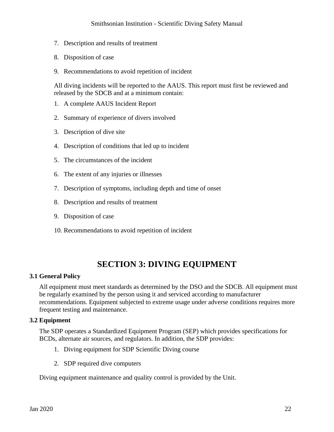- 7. Description and results of treatment
- 8. Disposition of case
- 9. Recommendations to avoid repetition of incident

All diving incidents will be reported to the AAUS. This report must first be reviewed and released by the SDCB and at a minimum contain:

- 1. A complete AAUS Incident Report
- 2. Summary of experience of divers involved
- 3. Description of dive site
- 4. Description of conditions that led up to incident
- 5. The circumstances of the incident
- 6. The extent of any injuries or illnesses
- 7. Description of symptoms, including depth and time of onset
- 8. Description and results of treatment
- 9. Disposition of case
- 10. Recommendations to avoid repetition of incident

# **SECTION 3: DIVING EQUIPMENT**

#### <span id="page-21-1"></span><span id="page-21-0"></span>**3.1 General Policy**

All equipment must meet standards as determined by the DSO and the SDCB. All equipment must be regularly examined by the person using it and serviced according to manufacturer recommendations. Equipment subjected to extreme usage under adverse conditions requires more frequent testing and maintenance.

#### <span id="page-21-2"></span>**3.2 Equipment**

The SDP operates a Standardized Equipment Program (SEP) which provides specifications for BCDs, alternate air sources, and regulators. In addition, the SDP provides:

- 1. Diving equipment for SDP Scientific Diving course
- 2. SDP required dive computers

Diving equipment maintenance and quality control is provided by the Unit.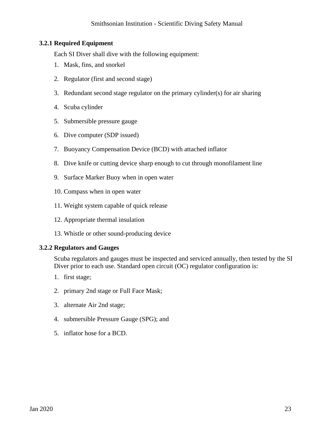# **3.2.1 Required Equipment**

Each SI Diver shall dive with the following equipment:

- 1. Mask, fins, and snorkel
- 2. Regulator (first and second stage)
- 3. Redundant second stage regulator on the primary cylinder(s) for air sharing
- 4. Scuba cylinder
- 5. Submersible pressure gauge
- 6. Dive computer (SDP issued)
- 7. Buoyancy Compensation Device (BCD) with attached inflator
- 8. Dive knife or cutting device sharp enough to cut through monofilament line
- 9. Surface Marker Buoy when in open water
- 10. Compass when in open water
- 11. Weight system capable of quick release
- 12. Appropriate thermal insulation
- 13. Whistle or other sound-producing device

# **3.2.2 Regulators and Gauges**

Scuba regulators and gauges must be inspected and serviced annually, then tested by the SI Diver prior to each use. Standard open circuit (OC) regulator configuration is:

- 1. first stage;
- 2. primary 2nd stage or Full Face Mask;
- 3. alternate Air 2nd stage;
- 4. submersible Pressure Gauge (SPG); and
- 5. inflator hose for a BCD.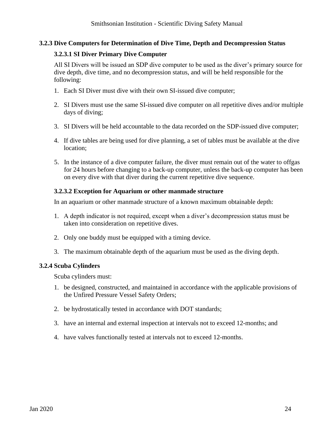# **3.2.3 Dive Computers for Determination of Dive Time, Depth and Decompression Status**

# **3.2.3.1 SI Diver Primary Dive Computer**

All SI Divers will be issued an SDP dive computer to be used as the diver's primary source for dive depth, dive time, and no decompression status, and will be held responsible for the following:

- 1. Each SI Diver must dive with their own SI-issued dive computer;
- 2. SI Divers must use the same SI-issued dive computer on all repetitive dives and/or multiple days of diving;
- 3. SI Divers will be held accountable to the data recorded on the SDP-issued dive computer;
- 4. If dive tables are being used for dive planning, a set of tables must be available at the dive location;
- 5. In the instance of a dive computer failure, the diver must remain out of the water to offgas for 24 hours before changing to a back-up computer, unless the back-up computer has been on every dive with that diver during the current repetitive dive sequence.

# **3.2.3.2 Exception for Aquarium or other manmade structure**

In an aquarium or other manmade structure of a known maximum obtainable depth:

- 1. A depth indicator is not required, except when a diver's decompression status must be taken into consideration on repetitive dives.
- 2. Only one buddy must be equipped with a timing device.
- 3. The maximum obtainable depth of the aquarium must be used as the diving depth.

# **3.2.4 Scuba Cylinders**

Scuba cylinders must:

- 1. be designed, constructed, and maintained in accordance with the applicable provisions of the Unfired Pressure Vessel Safety Orders;
- 2. be hydrostatically tested in accordance with DOT standards;
- 3. have an internal and external inspection at intervals not to exceed 12-months; and
- 4. have valves functionally tested at intervals not to exceed 12-months.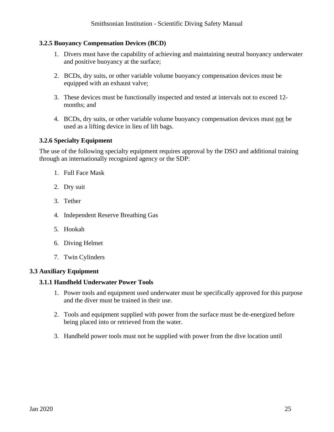# **3.2.5 Buoyancy Compensation Devices (BCD)**

- 1. Divers must have the capability of achieving and maintaining neutral buoyancy underwater and positive buoyancy at the surface;
- 2. BCDs, dry suits, or other variable volume buoyancy compensation devices must be equipped with an exhaust valve;
- 3. These devices must be functionally inspected and tested at intervals not to exceed 12 months; and
- 4. BCDs, dry suits, or other variable volume buoyancy compensation devices must not be used as a lifting device in lieu of lift bags.

# **3.2.6 Specialty Equipment**

The use of the following specialty equipment requires approval by the DSO and additional training through an internationally recognized agency or the SDP:

- 1. Full Face Mask
- 2. Dry suit
- 3. Tether
- 4. Independent Reserve Breathing Gas
- 5. Hookah
- 6. Diving Helmet
- 7. Twin Cylinders

# <span id="page-24-0"></span>**3.3 Auxiliary Equipment**

# **3.1.1 Handheld Underwater Power Tools**

- 1. Power tools and equipment used underwater must be specifically approved for this purpose and the diver must be trained in their use.
- 2. Tools and equipment supplied with power from the surface must be de-energized before being placed into or retrieved from the water.
- 3. Handheld power tools must not be supplied with power from the dive location until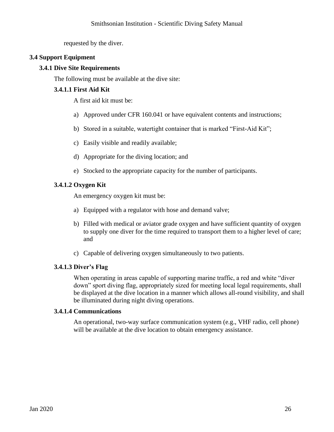requested by the diver.

# <span id="page-25-0"></span>**3.4 Support Equipment**

# **3.4.1 Dive Site Requirements**

The following must be available at the dive site:

# **3.4.1.1 First Aid Kit**

A first aid kit must be:

- a) Approved under CFR 160.041 or have equivalent contents and instructions;
- b) Stored in a suitable, watertight container that is marked "First-Aid Kit";
- c) Easily visible and readily available;
- d) Appropriate for the diving location; and
- e) Stocked to the appropriate capacity for the number of participants.

# **3.4.1.2 Oxygen Kit**

An emergency oxygen kit must be:

- a) Equipped with a regulator with hose and demand valve;
- b) Filled with medical or aviator grade oxygen and have sufficient quantity of oxygen to supply one diver for the time required to transport them to a higher level of care; and
- c) Capable of delivering oxygen simultaneously to two patients.

# **3.4.1.3 Diver's Flag**

When operating in areas capable of supporting marine traffic, a red and white "diver down" sport diving flag, appropriately sized for meeting local legal requirements, shall be displayed at the dive location in a manner which allows all-round visibility, and shall be illuminated during night diving operations.

#### **3.4.1.4 Communications**

An operational, two-way surface communication system (e.g., VHF radio, cell phone) will be available at the dive location to obtain emergency assistance.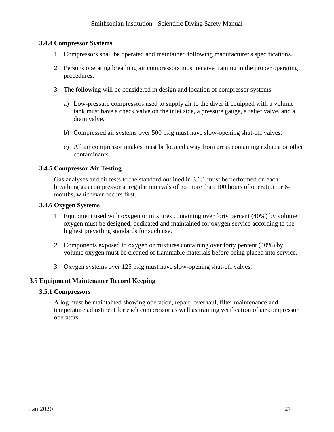# **3.4.4 Compressor Systems**

- 1. Compressors shall be operated and maintained following manufacturer's specifications.
- 2. Persons operating breathing air compressors must receive training in the proper operating procedures.
- 3. The following will be considered in design and location of compressor systems:
	- a) Low-pressure compressors used to supply air to the diver if equipped with a volume tank must have a check valve on the inlet side, a pressure gauge, a relief valve, and a drain valve.
	- b) Compressed air systems over 500 psig must have slow-opening shut-off valves.
	- c) All air compressor intakes must be located away from areas containing exhaust or other contaminants.

### **3.4.5 Compressor Air Testing**

Gas analyses and air tests to the standard outlined in 3.6.1 must be performed on each breathing gas compressor at regular intervals of no more than 100 hours of operation or 6 months, whichever occurs first.

#### **3.4.6 Oxygen Systems**

- 1. Equipment used with oxygen or mixtures containing over forty percent (40%) by volume oxygen must be designed, dedicated and maintained for oxygen service according to the highest prevailing standards for such use.
- 2. Components exposed to oxygen or mixtures containing over forty percent (40%) by volume oxygen must be cleaned of flammable materials before being placed into service.
- 3. Oxygen systems over 125 psig must have slow-opening shut-off valves.

#### <span id="page-26-0"></span>**3.5 Equipment Maintenance Record Keeping**

#### **3.5.1 Compressors**

A log must be maintained showing operation, repair, overhaul, filter maintenance and temperature adjustment for each compressor as well as training verification of air compressor operators.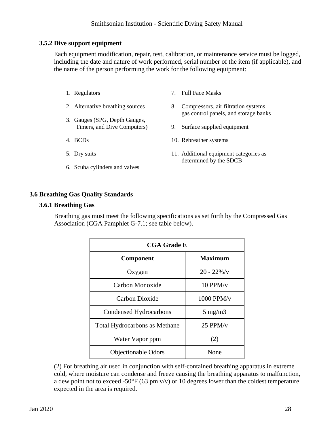### **3.5.2 Dive support equipment**

Each equipment modification, repair, test, calibration, or maintenance service must be logged, including the date and nature of work performed, serial number of the item (if applicable), and the name of the person performing the work for the following equipment:

- 1. Regulators
- 2. Alternative breathing sources
- 3. Gauges (SPG, Depth Gauges, Timers, and Dive Computers)
- 4. BCDs
- 5. Dry suits
- 6. Scuba cylinders and valves
- 7. Full Face Masks
- 8. Compressors, air filtration systems, gas control panels, and storage banks
- 9. Surface supplied equipment
- 10. Rebreather systems
- 11. Additional equipment categories as determined by the SDCB

### <span id="page-27-0"></span>**3.6 Breathing Gas Quality Standards**

#### **3.6.1 Breathing Gas**

Breathing gas must meet the following specifications as set forth by the Compressed Gas Association (CGA Pamphlet G-7.1; see table below).

| <b>CGA Grade E</b>                   |                  |
|--------------------------------------|------------------|
| Component                            | <b>Maximum</b>   |
| Oxygen                               | $20 - 22\% / v$  |
| Carbon Monoxide                      | $10$ PPM/v       |
| Carbon Dioxide                       | 1000 PPM/v       |
| Condensed Hydrocarbons               | $5 \text{ mg/m}$ |
| <b>Total Hydrocarbons as Methane</b> | $25$ PPM/v       |
| Water Vapor ppm                      | (2)              |
| <b>Objectionable Odors</b>           | None             |

(2) For breathing air used in conjunction with self-contained breathing apparatus in extreme cold, where moisture can condense and freeze causing the breathing apparatus to malfunction, a dew point not to exceed -50 $\degree$ F (63 pm v/v) or 10 degrees lower than the coldest temperature expected in the area is required.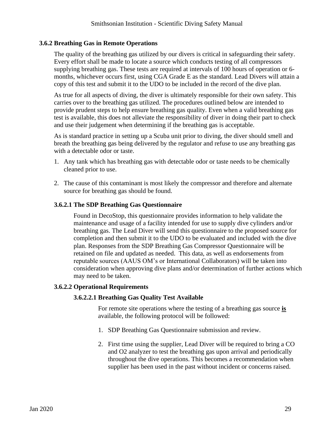# **3.6.2 Breathing Gas in Remote Operations**

The quality of the breathing gas utilized by our divers is critical in safeguarding their safety. Every effort shall be made to locate a source which conducts testing of all compressors supplying breathing gas. These tests are required at intervals of 100 hours of operation or 6 months, whichever occurs first, using CGA Grade E as the standard. Lead Divers will attain a copy of this test and submit it to the UDO to be included in the record of the dive plan.

As true for all aspects of diving, the diver is ultimately responsible for their own safety. This carries over to the breathing gas utilized. The procedures outlined below are intended to provide prudent steps to help ensure breathing gas quality. Even when a valid breathing gas test is available, this does not alleviate the responsibility of diver in doing their part to check and use their judgement when determining if the breathing gas is acceptable.

As is standard practice in setting up a Scuba unit prior to diving, the diver should smell and breath the breathing gas being delivered by the regulator and refuse to use any breathing gas with a detectable odor or taste.

- 1. Any tank which has breathing gas with detectable odor or taste needs to be chemically cleaned prior to use.
- 2. The cause of this contaminant is most likely the compressor and therefore and alternate source for breathing gas should be found.

### **3.6.2.1 The SDP Breathing Gas Questionnaire**

Found in DecoStop, this questionnaire provides information to help validate the maintenance and usage of a facility intended for use to supply dive cylinders and/or breathing gas. The Lead Diver will send this questionnaire to the proposed source for completion and then submit it to the UDO to be evaluated and included with the dive plan. Responses from the SDP Breathing Gas Compressor Questionnaire will be retained on file and updated as needed. This data, as well as endorsements from reputable sources (AAUS OM's or International Collaborators) will be taken into consideration when approving dive plans and/or determination of further actions which may need to be taken.

# **3.6.2.2 Operational Requirements**

# **3.6.2.2.1 Breathing Gas Quality Test Available**

For remote site operations where the testing of a breathing gas source **is** available, the following protocol will be followed:

- 1. SDP Breathing Gas Questionnaire submission and review.
- 2. First time using the supplier, Lead Diver will be required to bring a CO and O2 analyzer to test the breathing gas upon arrival and periodically throughout the dive operations. This becomes a recommendation when supplier has been used in the past without incident or concerns raised.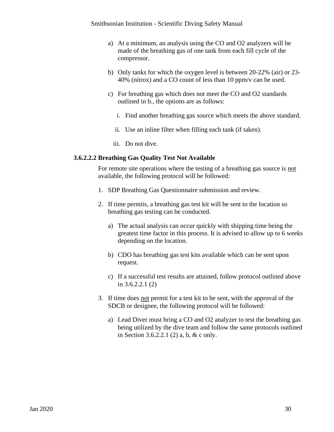- a) At a minimum, an analysis using the CO and O2 analyzers will be made of the breathing gas of one tank from each fill cycle of the compressor.
- b) Only tanks for which the oxygen level is between 20-22% (air) or 23- 40% (nitrox) and a CO count of less than 10 ppm/v can be used.
- c) For breathing gas which does not meet the CO and O2 standards outlined in b., the options are as follows:
	- i. Find another breathing gas source which meets the above standard.
	- ii. Use an inline filter when filling each tank (if taken).
	- iii. Do not dive.

#### **3.6.2.2.2 Breathing Gas Quality Test Not Available**

For remote site operations where the testing of a breathing gas source is not available, the following protocol will be followed:

- 1. SDP Breathing Gas Questionnaire submission and review.
- 2. If time permits, a breathing gas test kit will be sent to the location so breathing gas testing can be conducted.
	- a) The actual analysis can occur quickly with shipping time being the greatest time factor in this process. It is advised to allow up to 6 weeks depending on the location.
	- b) CDO has breathing gas test kits available which can be sent upon request.
	- c) If a successful test results are attained, follow protocol outlined above in 3.6.2.2.1 (2)
- 3. If time does not permit for a test kit to be sent, with the approval of the SDCB or designee, the following protocol will be followed:
	- a) Lead Diver must bring a CO and O2 analyzer to test the breathing gas being utilized by the dive team and follow the same protocols outlined in Section 3.6.2.2.1 (2) a, b, & c only.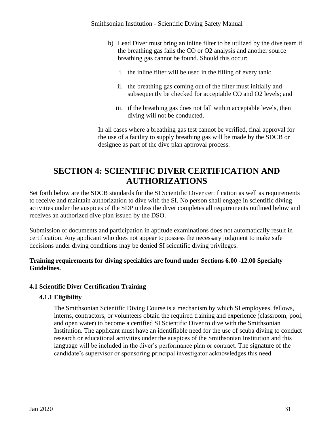- b) Lead Diver must bring an inline filter to be utilized by the dive team if the breathing gas fails the CO or O2 analysis and another source breathing gas cannot be found. Should this occur:
	- i. the inline filter will be used in the filling of every tank;
	- ii. the breathing gas coming out of the filter must initially and subsequently be checked for acceptable CO and O2 levels; and
	- iii. if the breathing gas does not fall within acceptable levels, then diving will not be conducted.

In all cases where a breathing gas test cannot be verified, final approval for the use of a facility to supply breathing gas will be made by the SDCB or designee as part of the dive plan approval process.

# <span id="page-30-0"></span>**SECTION 4: SCIENTIFIC DIVER CERTIFICATION AND AUTHORIZATIONS**

Set forth below are the SDCB standards for the SI Scientific Diver certification as well as requirements to receive and maintain authorization to dive with the SI. No person shall engage in scientific diving activities under the auspices of the SDP unless the diver completes all requirements outlined below and receives an authorized dive plan issued by the DSO.

Submission of documents and participation in aptitude examinations does not automatically result in certification. Any applicant who does not appear to possess the necessary judgment to make safe decisions under diving conditions may be denied SI scientific diving privileges.

# **Training requirements for diving specialties are found under Sections 6.00 -12.00 Specialty Guidelines.**

# <span id="page-30-1"></span>**4.1 Scientific Diver Certification Training**

# **4.1.1 Eligibility**

The Smithsonian Scientific Diving Course is a mechanism by which SI employees, fellows, interns, contractors, or volunteers obtain the required training and experience (classroom, pool, and open water) to become a certified SI Scientific Diver to dive with the Smithsonian Institution. The applicant must have an identifiable need for the use of scuba diving to conduct research or educational activities under the auspices of the Smithsonian Institution and this language will be included in the diver's performance plan or contract. The signature of the candidate's supervisor or sponsoring principal investigator acknowledges this need.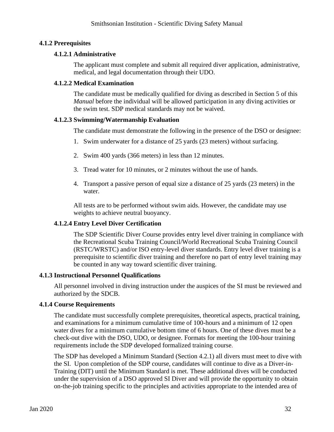# **4.1.2 Prerequisites**

# **4.1.2.1 Administrative**

The applicant must complete and submit all required diver application, administrative, medical, and legal documentation through their UDO.

# **4.1.2.2 Medical Examination**

The candidate must be medically qualified for diving as described in Section 5 of this *Manual* before the individual will be allowed participation in any diving activities or the swim test. SDP medical standards may not be waived.

# **4.1.2.3 Swimming/Watermanship Evaluation**

The candidate must demonstrate the following in the presence of the DSO or designee:

- 1. Swim underwater for a distance of 25 yards (23 meters) without surfacing.
- 2. Swim 400 yards (366 meters) in less than 12 minutes.
- 3. Tread water for 10 minutes, or 2 minutes without the use of hands.
- 4. Transport a passive person of equal size a distance of 25 yards (23 meters) in the water.

All tests are to be performed without swim aids. However, the candidate may use weights to achieve neutral buoyancy.

# **4.1.2.4 Entry Level Diver Certification**

The SDP Scientific Diver Course provides entry level diver training in compliance with the Recreational Scuba Training Council/World Recreational Scuba Training Council (RSTC/WRSTC) and/or ISO entry-level diver standards. Entry level diver training is a prerequisite to scientific diver training and therefore no part of entry level training may be counted in any way toward scientific diver training.

# **4.1.3 Instructional Personnel Qualifications**

All personnel involved in diving instruction under the auspices of the SI must be reviewed and authorized by the SDCB.

# **4.1.4 Course Requirements**

The candidate must successfully complete prerequisites, theoretical aspects, practical training, and examinations for a minimum cumulative time of 100-hours and a minimum of 12 open water dives for a minimum cumulative bottom time of 6 hours. One of these dives must be a check-out dive with the DSO, UDO, or designee. Formats for meeting the 100-hour training requirements include the SDP developed formalized training course.

The SDP has developed a Minimum Standard (Section 4.2.1) all divers must meet to dive with the SI. Upon completion of the SDP course, candidates will continue to dive as a Diver-in-Training (DIT) until the Minimum Standard is met. These additional dives will be conducted under the supervision of a DSO approved SI Diver and will provide the opportunity to obtain on-the-job training specific to the principles and activities appropriate to the intended area of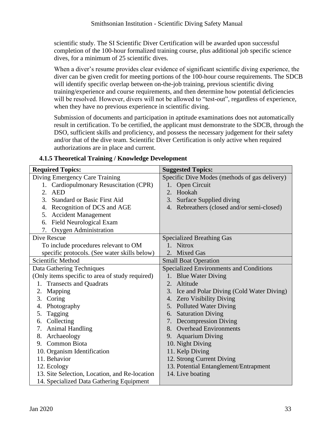scientific study. The SI Scientific Diver Certification will be awarded upon successful completion of the 100-hour formalized training course, plus additional job specific science dives, for a minimum of 25 scientific dives.

When a diver's resume provides clear evidence of significant scientific diving experience, the diver can be given credit for meeting portions of the 100-hour course requirements. The SDCB will identify specific overlap between on-the-job training, previous scientific diving training/experience and course requirements, and then determine how potential deficiencies will be resolved. However, divers will not be allowed to "test-out", regardless of experience, when they have no previous experience in scientific diving.

Submission of documents and participation in aptitude examinations does not automatically result in certification. To be certified, the applicant must demonstrate to the SDCB, through the DSO, sufficient skills and proficiency, and possess the necessary judgement for their safety and/or that of the dive team. Scientific Diver Certification is only active when required authorizations are in place and current.

| <b>Required Topics:</b>                         | <b>Suggested Topics:</b>                       |
|-------------------------------------------------|------------------------------------------------|
| Diving Emergency Care Training                  | Specific Dive Modes (methods of gas delivery)  |
| 1. Cardiopulmonary Resuscitation (CPR)          | Open Circuit<br>1.                             |
| 2. AED                                          | Hookah<br>2.                                   |
| 3.<br><b>Standard or Basic First Aid</b>        | 3.<br>Surface Supplied diving                  |
| Recognition of DCS and AGE<br>4.                | Rebreathers (closed and/or semi-closed)<br>4.  |
| <b>Accident Management</b><br>5.                |                                                |
| <b>Field Neurological Exam</b><br>6.            |                                                |
| 7. Oxygen Administration                        |                                                |
| <b>Dive Rescue</b>                              | <b>Specialized Breathing Gas</b>               |
| To include procedures relevant to OM            | 1. Nitrox                                      |
| specific protocols. (See water skills below)    | 2. Mixed Gas                                   |
| Scientific Method                               | <b>Small Boat Operation</b>                    |
| Data Gathering Techniques                       | <b>Specialized Environments and Conditions</b> |
| (Only items specific to area of study required) | 1. Blue Water Diving                           |
| 1. Transects and Quadrats                       | Altitude<br>2.                                 |
| Mapping<br>2.                                   | 3. Ice and Polar Diving (Cold Water Diving)    |
| Coring<br>3.                                    | 4. Zero Visibility Diving                      |
| Photography<br>4.                               | 5. Polluted Water Diving                       |
| Tagging<br>5.                                   | 6. Saturation Diving                           |
| Collecting<br>6.                                | 7. Decompression Diving                        |
| <b>Animal Handling</b><br>7.                    | 8. Overhead Environments                       |
| Archaeology<br>8.                               | <b>Aquarium Diving</b><br>9.                   |
| <b>Common Biota</b><br>9.                       | 10. Night Diving                               |
| 10. Organism Identification                     | 11. Kelp Diving                                |
| 11. Behavior                                    | 12. Strong Current Diving                      |
| 12. Ecology                                     | 13. Potential Entanglement/Entrapment          |
| 13. Site Selection, Location, and Re-location   | 14. Live boating                               |
| 14. Specialized Data Gathering Equipment        |                                                |

# **4.1.5 Theoretical Training / Knowledge Development**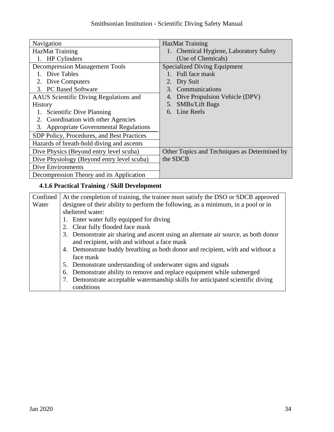| Navigation                                 | <b>HazMat Training</b>                       |
|--------------------------------------------|----------------------------------------------|
| <b>HazMat Training</b>                     | 1. Chemical Hygiene, Laboratory Safety       |
| 1. HP Cylinders                            | (Use of Chemicals)                           |
| <b>Decompression Management Tools</b>      | <b>Specialized Diving Equipment</b>          |
| 1. Dive Tables                             | Full face mask                               |
| Dive Computers                             | Dry Suit                                     |
| 3. PC Based Software                       | Communications<br>3.                         |
| AAUS Scientific Diving Regulations and     | Dive Propulsion Vehicle (DPV)<br>4.          |
| <b>History</b>                             | <b>SMBs/Lift Bags</b><br>5.                  |
| 1. Scientific Dive Planning                | Line Reels<br>6.                             |
| 2. Coordination with other Agencies        |                                              |
| 3. Appropriate Governmental Regulations    |                                              |
| SDP Policy, Procedures, and Best Practices |                                              |
| Hazards of breath-hold diving and ascents  |                                              |
| Dive Physics (Beyond entry level scuba)    | Other Topics and Techniques as Determined by |
| Dive Physiology (Beyond entry level scuba) | the SDCB                                     |
| Dive Environments                          |                                              |
| Decompression Theory and its Application   |                                              |

# **4.1.6 Practical Training / Skill Development**

| Confined | At the completion of training, the trainee must satisfy the DSO or SDCB approved   |
|----------|------------------------------------------------------------------------------------|
| Water    | designee of their ability to perform the following, as a minimum, in a pool or in  |
|          | sheltered water:                                                                   |
|          | 1. Enter water fully equipped for diving                                           |
|          | 2. Clear fully flooded face mask                                                   |
|          | 3. Demonstrate air sharing and ascent using an alternate air source, as both donor |
|          | and recipient, with and without a face mask                                        |
|          | 4. Demonstrate buddy breathing as both donor and recipient, with and without a     |
|          | face mask                                                                          |
|          | 5. Demonstrate understanding of underwater signs and signals                       |
|          | Demonstrate ability to remove and replace equipment while submerged<br>6.          |
|          | Demonstrate acceptable watermanship skills for anticipated scientific diving       |
|          | conditions                                                                         |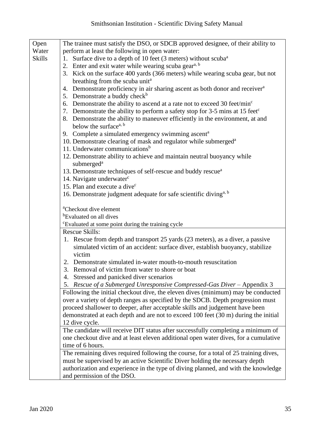| Open          | The trainee must satisfy the DSO, or SDCB approved designee, of their ability to                                          |
|---------------|---------------------------------------------------------------------------------------------------------------------------|
| Water         |                                                                                                                           |
|               | perform at least the following in open water:                                                                             |
| <b>Skills</b> | Surface dive to a depth of 10 feet (3 meters) without scuba <sup>a</sup><br>1.                                            |
|               | 2. Enter and exit water while wearing scuba gear <sup>a, b</sup>                                                          |
|               | 3. Kick on the surface 400 yards (366 meters) while wearing scuba gear, but not                                           |
|               | breathing from the scuba unit <sup>a</sup>                                                                                |
|               | 4. Demonstrate proficiency in air sharing ascent as both donor and receiver <sup>a</sup>                                  |
|               | 5. Demonstrate a buddy check <sup>b</sup>                                                                                 |
|               | 6. Demonstrate the ability to ascend at a rate not to exceed 30 feet/ $\text{min}^c$                                      |
|               | 7. Demonstrate the ability to perform a safety stop for 3-5 mins at 15 feet <sup>c</sup>                                  |
|               | 8. Demonstrate the ability to maneuver efficiently in the environment, at and                                             |
|               | below the surface <sup>a, b</sup>                                                                                         |
|               | 9. Complete a simulated emergency swimming ascent <sup>a</sup>                                                            |
|               |                                                                                                                           |
|               | 10. Demonstrate clearing of mask and regulator while submerged <sup>a</sup><br>11. Underwater communications <sup>b</sup> |
|               |                                                                                                                           |
|               | 12. Demonstrate ability to achieve and maintain neutral buoyancy while                                                    |
|               | submerged <sup>a</sup>                                                                                                    |
|               | 13. Demonstrate techniques of self-rescue and buddy rescue <sup>a</sup>                                                   |
|               | 14. Navigate underwater <sup>c</sup>                                                                                      |
|               | 15. Plan and execute a dive <sup>c</sup>                                                                                  |
|               | 16. Demonstrate judgment adequate for safe scientific diving <sup>a, b</sup>                                              |
|               |                                                                                                                           |
|               | <sup>a</sup> Checkout dive element                                                                                        |
|               | <sup>b</sup> Evaluated on all dives                                                                                       |
|               | <sup>c</sup> Evaluated at some point during the training cycle                                                            |
|               | <b>Rescue Skills:</b>                                                                                                     |
|               | 1. Rescue from depth and transport 25 yards (23 meters), as a diver, a passive                                            |
|               | simulated victim of an accident: surface diver, establish buoyancy, stabilize                                             |
|               | victim                                                                                                                    |
|               | 2. Demonstrate simulated in-water mouth-to-mouth resuscitation                                                            |
|               | 3. Removal of victim from water to shore or boat                                                                          |
|               |                                                                                                                           |
|               | 4. Stressed and panicked diver scenarios                                                                                  |
|               | 5. Rescue of a Submerged Unresponsive Compressed-Gas Diver - Appendix 3                                                   |
|               | Following the initial checkout dive, the eleven dives (minimum) may be conducted                                          |
|               | over a variety of depth ranges as specified by the SDCB. Depth progression must                                           |
|               | proceed shallower to deeper, after acceptable skills and judgement have been                                              |
|               | demonstrated at each depth and are not to exceed 100 feet (30 m) during the initial                                       |
|               | 12 dive cycle.                                                                                                            |
|               | The candidate will receive DIT status after successfully completing a minimum of                                          |
|               | one checkout dive and at least eleven additional open water dives, for a cumulative                                       |
|               | time of 6 hours.                                                                                                          |
|               | The remaining dives required following the course, for a total of 25 training dives,                                      |
|               | must be supervised by an active Scientific Diver holding the necessary depth                                              |
|               |                                                                                                                           |
|               | authorization and experience in the type of diving planned, and with the knowledge                                        |
|               | and permission of the DSO.                                                                                                |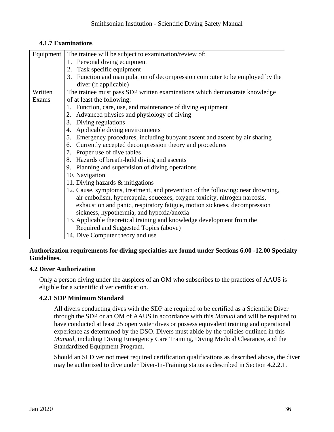| 4.1.7 Examinations |  |
|--------------------|--|
|--------------------|--|

| Equipment | The trainee will be subject to examination/review of:                           |  |
|-----------|---------------------------------------------------------------------------------|--|
|           | 1. Personal diving equipment                                                    |  |
|           | 2. Task specific equipment                                                      |  |
|           | 3. Function and manipulation of decompression computer to be employed by the    |  |
|           | diver (if applicable)                                                           |  |
| Written   | The trainee must pass SDP written examinations which demonstrate knowledge      |  |
| Exams     | of at least the following:                                                      |  |
|           | 1. Function, care, use, and maintenance of diving equipment                     |  |
|           | 2. Advanced physics and physiology of diving                                    |  |
|           | Diving regulations<br>3.                                                        |  |
|           | 4. Applicable diving environments                                               |  |
|           | Emergency procedures, including buoyant ascent and ascent by air sharing<br>5.  |  |
|           | 6. Currently accepted decompression theory and procedures                       |  |
|           | 7. Proper use of dive tables                                                    |  |
|           | 8. Hazards of breath-hold diving and ascents                                    |  |
|           | 9. Planning and supervision of diving operations                                |  |
|           | 10. Navigation                                                                  |  |
|           | 11. Diving hazards & mitigations                                                |  |
|           | 12. Cause, symptoms, treatment, and prevention of the following: near drowning, |  |
|           | air embolism, hypercapnia, squeezes, oxygen toxicity, nitrogen narcosis,        |  |
|           | exhaustion and panic, respiratory fatigue, motion sickness, decompression       |  |
|           | sickness, hypothermia, and hypoxia/anoxia                                       |  |
|           | 13. Applicable theoretical training and knowledge development from the          |  |
|           | Required and Suggested Topics (above)                                           |  |
|           | 14. Dive Computer theory and use                                                |  |

# **Authorization requirements for diving specialties are found under Sections 6.00 -12.00 Specialty Guidelines.**

# <span id="page-35-0"></span>**4.2 Diver Authorization**

Only a person diving under the auspices of an OM who subscribes to the practices of AAUS is eligible for a scientific diver certification.

# **4.2.1 SDP Minimum Standard**

All divers conducting dives with the SDP are required to be certified as a Scientific Diver through the SDP or an OM of AAUS in accordance with this *Manual* and will be required to have conducted at least 25 open water dives or possess equivalent training and operational experience as determined by the DSO. Divers must abide by the policies outlined in this *Manual*, including Diving Emergency Care Training, Diving Medical Clearance, and the Standardized Equipment Program.

Should an SI Diver not meet required certification qualifications as described above, the diver may be authorized to dive under Diver-In-Training status as described in Section 4.2.2.1.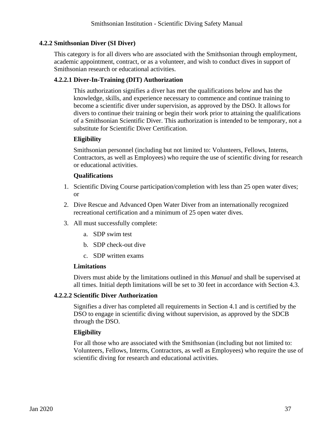### **4.2.2 Smithsonian Diver (SI Diver)**

This category is for all divers who are associated with the Smithsonian through employment, academic appointment, contract, or as a volunteer, and wish to conduct dives in support of Smithsonian research or educational activities.

### **4.2.2.1 Diver-In-Training (DIT) Authorization**

This authorization signifies a diver has met the qualifications below and has the knowledge, skills, and experience necessary to commence and continue training to become a scientific diver under supervision, as approved by the DSO. It allows for divers to continue their training or begin their work prior to attaining the qualifications of a Smithsonian Scientific Diver. This authorization is intended to be temporary, not a substitute for Scientific Diver Certification.

#### **Eligibility**

Smithsonian personnel (including but not limited to: Volunteers, Fellows, Interns, Contractors, as well as Employees) who require the use of scientific diving for research or educational activities.

#### **Qualifications**

- 1. Scientific Diving Course participation/completion with less than 25 open water dives; or
- 2. Dive Rescue and Advanced Open Water Diver from an internationally recognized recreational certification and a minimum of 25 open water dives.
- 3. All must successfully complete:
	- a. SDP swim test
	- b. SDP check-out dive
	- c. SDP written exams

#### **Limitations**

Divers must abide by the limitations outlined in this *Manual* and shall be supervised at all times. Initial depth limitations will be set to 30 feet in accordance with Section 4.3.

#### **4.2.2.2 Scientific Diver Authorization**

Signifies a diver has completed all requirements in Section 4.1 and is certified by the DSO to engage in scientific diving without supervision, as approved by the SDCB through the DSO.

#### **Eligibility**

For all those who are associated with the Smithsonian (including but not limited to: Volunteers, Fellows, Interns, Contractors, as well as Employees) who require the use of scientific diving for research and educational activities.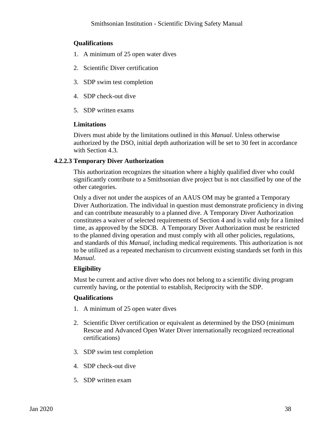### **Qualifications**

- 1. A minimum of 25 open water dives
- 2. Scientific Diver certification
- 3. SDP swim test completion
- 4. SDP check-out dive
- 5. SDP written exams

#### **Limitations**

Divers must abide by the limitations outlined in this *Manual*. Unless otherwise authorized by the DSO, initial depth authorization will be set to 30 feet in accordance with Section 4.3.

#### **4.2.2.3 Temporary Diver Authorization**

This authorization recognizes the situation where a highly qualified diver who could significantly contribute to a Smithsonian dive project but is not classified by one of the other categories.

Only a diver not under the auspices of an AAUS OM may be granted a Temporary Diver Authorization. The individual in question must demonstrate proficiency in diving and can contribute measurably to a planned dive. A Temporary Diver Authorization constitutes a waiver of selected requirements of Section 4 and is valid only for a limited time, as approved by the SDCB. A Temporary Diver Authorization must be restricted to the planned diving operation and must comply with all other policies, regulations, and standards of this *Manual*, including medical requirements. This authorization is not to be utilized as a repeated mechanism to circumvent existing standards set forth in this *Manual*.

#### **Eligibility**

Must be current and active diver who does not belong to a scientific diving program currently having, or the potential to establish, Reciprocity with the SDP.

#### **Qualifications**

- 1. A minimum of 25 open water dives
- 2. Scientific Diver certification or equivalent as determined by the DSO (minimum Rescue and Advanced Open Water Diver internationally recognized recreational certifications)
- 3. SDP swim test completion
- 4. SDP check-out dive
- 5. SDP written exam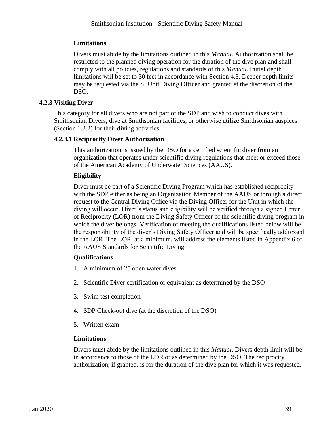# **Limitations**

Divers must abide by the limitations outlined in this *Manual*. Authorization shall be restricted to the planned diving operation for the duration of the dive plan and shall comply with all policies, regulations and standards of this *Manual*. Initial depth limitations will be set to 30 feet in accordance with Section 4.3. Deeper depth limits may be requested via the SI Unit Diving Officer and granted at the discretion of the DSO.

### **4.2.3 Visiting Diver**

This category for all divers who are not part of the SDP and wish to conduct dives with Smithsonian Divers, dive at Smithsonian facilities, or otherwise utilize Smithsonian auspices (Section 1.2.2) for their diving activities.

#### **4.2.3.1 Reciprocity Diver Authorization**

This authorization is issued by the DSO for a certified scientific diver from an organization that operates under scientific diving regulations that meet or exceed those of the American Academy of Underwater Sciences (AAUS).

# **Eligibility**

Diver must be part of a Scientific Diving Program which has established reciprocity with the SDP either as being an Organization Member of the AAUS or through a direct request to the Central Diving Office via the Diving Officer for the Unit in which the diving will occur. Diver's status and eligibility will be verified through a signed Letter of Reciprocity (LOR) from the Diving Safety Officer of the scientific diving program in which the diver belongs. Verification of meeting the qualifications listed below will be the responsibility of the diver's Diving Safety Officer and will be specifically addressed in the LOR. The LOR, at a minimum, will address the elements listed in Appendix 6 of the AAUS Standards for Scientific Diving.

#### **Qualifications**

- 1. A minimum of 25 open water dives
- 2. Scientific Diver certification or equivalent as determined by the DSO
- 3. Swim test completion
- 4. SDP Check-out dive (at the discretion of the DSO)
- 5. Written exam

#### **Limitations**

Divers must abide by the limitations outlined in this *Manual*. Divers depth limit will be in accordance to those of the LOR or as determined by the DSO. The reciprocity authorization, if granted, is for the duration of the dive plan for which it was requested.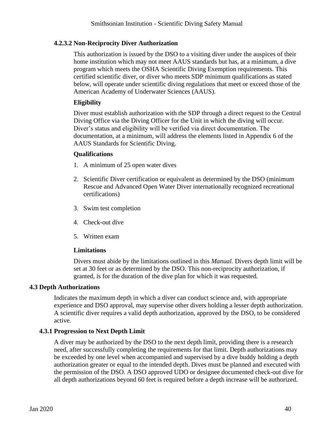# **4.2.3.2 Non-Reciprocity Diver Authorization**

This authorization is issued by the DSO to a visiting diver under the auspices of their home institution which may not meet AAUS standards but has, at a minimum, a dive program which meets the OSHA Scientific Diving Exemption requirements. This certified scientific diver, or diver who meets SDP minimum qualifications as stated below, will operate under scientific diving regulations that meet or exceed those of the American Academy of Underwater Sciences (AAUS).

### **Eligibility**

Diver must establish authorization with the SDP through a direct request to the Central Diving Office via the Diving Officer for the Unit in which the diving will occur. Diver's status and eligibility will be verified via direct documentation. The documentation, at a minimum, will address the elements listed in Appendix 6 of the AAUS Standards for Scientific Diving.

#### **Qualifications**

- 1. A minimum of 25 open water dives
- 2. Scientific Diver certification or equivalent as determined by the DSO (minimum Rescue and Advanced Open Water Diver internationally recognized recreational certifications)
- 3. Swim test completion
- 4. Check-out dive
- 5. Written exam

#### **Limitations**

Divers must abide by the limitations outlined in this *Manual.* Divers depth limit will be set at 30 feet or as determined by the DSO. This non-reciprocity authorization, if granted, is for the duration of the dive plan for which it was requested.

#### **4.3 Depth Authorizations**

Indicates the maximum depth in which a diver can conduct science and, with appropriate experience and DSO approval, may supervise other divers holding a lesser depth authorization. A scientific diver requires a valid depth authorization, approved by the DSO, to be considered active.

#### **4.3.1 Progression to Next Depth Limit**

A diver may be authorized by the DSO to the next depth limit, providing there is a research need, after successfully completing the requirements for that limit. Depth authorizations may be exceeded by one level when accompanied and supervised by a dive buddy holding a depth authorization greater or equal to the intended depth. Dives must be planned and executed with the permission of the DSO. A DSO approved UDO or designee documented check-out dive for all depth authorizations beyond 60 feet is required before a depth increase will be authorized.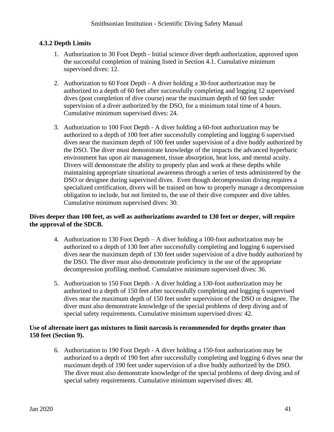# **4.3.2 Depth Limits**

- 1. Authorization to 30 Foot Depth Initial science diver depth authorization, approved upon the successful completion of training listed in Section 4.1. Cumulative minimum supervised dives: 12.
- 2. Authorization to 60 Foot Depth A diver holding a 30-foot authorization may be authorized to a depth of 60 feet after successfully completing and logging 12 supervised dives (post completion of dive course) near the maximum depth of 60 feet under supervision of a diver authorized by the DSO, for a minimum total time of 4 hours. Cumulative minimum supervised dives: 24.
- 3. Authorization to 100 Foot Depth A diver holding a 60-foot authorization may be authorized to a depth of 100 feet after successfully completing and logging 6 supervised dives near the maximum depth of 100 feet under supervision of a dive buddy authorized by the DSO. The diver must demonstrate knowledge of the impacts the advanced hyperbaric environment has upon air management, tissue absorption, heat loss, and mental acuity. Divers will demonstrate the ability to properly plan and work at these depths while maintaining appropriate situational awareness through a series of tests administered by the DSO or designee during supervised dives. Even though decompression diving requires a specialized certification, divers will be trained on how to properly manage a decompression obligation to include, but not limited to, the use of their dive computer and dive tables. Cumulative minimum supervised dives: 30.

#### **Dives deeper than 100 feet, as well as authorizations awarded to 130 feet or deeper, will require the approval of the SDCB.**

- 4. Authorization to 130 Foot Depth A diver holding a 100-foot authorization may be authorized to a depth of 130 feet after successfully completing and logging 6 supervised dives near the maximum depth of 130 feet under supervision of a dive buddy authorized by the DSO. The diver must also demonstrate proficiency in the use of the appropriate decompression profiling method. Cumulative minimum supervised dives: 36.
- 5. Authorization to 150 Foot Depth A diver holding a 130-foot authorization may be authorized to a depth of 150 feet after successfully completing and logging 6 supervised dives near the maximum depth of 150 feet under supervision of the DSO or designee. The diver must also demonstrate knowledge of the special problems of deep diving and of special safety requirements. Cumulative minimum supervised dives: 42.

#### **Use of alternate inert gas mixtures to limit narcosis is recommended for depths greater than 150 feet (Section 9).**

6. Authorization to 190 Foot Depth - A diver holding a 150-foot authorization may be authorized to a depth of 190 feet after successfully completing and logging 6 dives near the maximum depth of 190 feet under supervision of a dive buddy authorized by the DSO. The diver must also demonstrate knowledge of the special problems of deep diving and of special safety requirements. Cumulative minimum supervised dives: 48.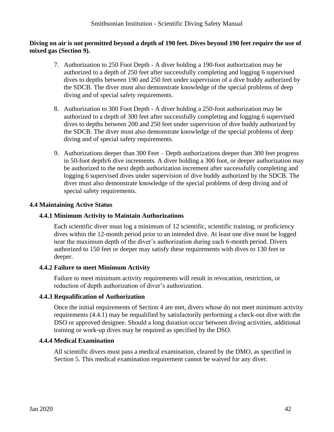#### **Diving on air is not permitted beyond a depth of 190 feet. Dives beyond 190 feet require the use of mixed gas (Section 9).**

- 7. Authorization to 250 Foot Depth A diver holding a 190-foot authorization may be authorized to a depth of 250 feet after successfully completing and logging 6 supervised dives to depths between 190 and 250 feet under supervision of a dive buddy authorized by the SDCB. The diver must also demonstrate knowledge of the special problems of deep diving and of special safety requirements.
- 8. Authorization to 300 Foot Depth A diver holding a 250-foot authorization may be authorized to a depth of 300 feet after successfully completing and logging 6 supervised dives to depths between 200 and 250 feet under supervision of dive buddy authorized by the SDCB. The diver must also demonstrate knowledge of the special problems of deep diving and of special safety requirements.
- 9. Authorizations deeper than 300 Feet Depth authorizations deeper than 300 feet progress in 50-foot depth/6 dive increments. A diver holding a 300 foot, or deeper authorization may be authorized to the next depth authorization increment after successfully completing and logging 6 supervised dives under supervision of dive buddy authorized by the SDCB. The diver must also demonstrate knowledge of the special problems of deep diving and of special safety requirements.

# **4.4 Maintaining Active Status**

### **4.4.1 Minimum Activity to Maintain Authorizations**

Each scientific diver must log a minimum of 12 scientific, scientific training, or proficiency dives within the 12-month period prior to an intended dive. At least one dive must be logged near the maximum depth of the diver's authorization during each 6-month period. Divers authorized to 150 feet or deeper may satisfy these requirements with dives to 130 feet or deeper.

#### **4.4.2 Failure to meet Minimum Activity**

Failure to meet minimum activity requirements will result in revocation, restriction, or reduction of depth authorization of diver's authorization.

#### **4.4.3 Requalification of Authorization**

Once the initial requirements of Section 4 are met, divers whose do not meet minimum activity requirements (4.4.1) may be requalified by satisfactorily performing a check-out dive with the DSO or approved designee. Should a long duration occur between diving activities, additional training or work-up dives may be required as specified by the DSO.

#### **4.4.4 Medical Examination**

All scientific divers must pass a medical examination, cleared by the DMO, as specified in Section 5. This medical examination requirement cannot be waived for any diver.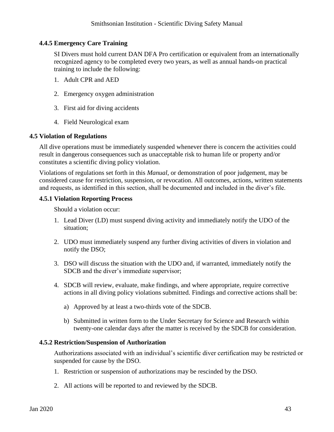# **4.4.5 Emergency Care Training**

SI Divers must hold current DAN DFA Pro certification or equivalent from an internationally recognized agency to be completed every two years, as well as annual hands-on practical training to include the following:

- 1. Adult CPR and AED
- 2. Emergency oxygen administration
- 3. First aid for diving accidents
- 4. Field Neurological exam

#### **4.5 Violation of Regulations**

All dive operations must be immediately suspended whenever there is concern the activities could result in dangerous consequences such as unacceptable risk to human life or property and/or constitutes a scientific diving policy violation.

Violations of regulations set forth in this *Manual*, or demonstration of poor judgement, may be considered cause for restriction, suspension, or revocation. All outcomes, actions, written statements and requests, as identified in this section, shall be documented and included in the diver's file.

#### **4.5.1 Violation Reporting Process**

Should a violation occur:

- 1. Lead Diver (LD) must suspend diving activity and immediately notify the UDO of the situation;
- 2. UDO must immediately suspend any further diving activities of divers in violation and notify the DSO;
- 3. DSO will discuss the situation with the UDO and, if warranted, immediately notify the SDCB and the diver's immediate supervisor;
- 4. SDCB will review, evaluate, make findings, and where appropriate, require corrective actions in all diving policy violations submitted. Findings and corrective actions shall be:
	- a) Approved by at least a two-thirds vote of the SDCB.
	- b) Submitted in written form to the Under Secretary for Science and Research within twenty-one calendar days after the matter is received by the SDCB for consideration.

#### **4.5.2 Restriction/Suspension of Authorization**

Authorizations associated with an individual's scientific diver certification may be restricted or suspended for cause by the DSO.

- 1. Restriction or suspension of authorizations may be rescinded by the DSO.
- 2. All actions will be reported to and reviewed by the SDCB.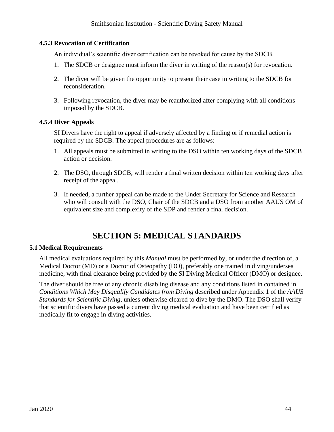### **4.5.3 Revocation of Certification**

An individual's scientific diver certification can be revoked for cause by the SDCB.

- 1. The SDCB or designee must inform the diver in writing of the reason(s) for revocation.
- 2. The diver will be given the opportunity to present their case in writing to the SDCB for reconsideration.
- 3. Following revocation, the diver may be reauthorized after complying with all conditions imposed by the SDCB.

#### **4.5.4 Diver Appeals**

SI Divers have the right to appeal if adversely affected by a finding or if remedial action is required by the SDCB. The appeal procedures are as follows:

- 1. All appeals must be submitted in writing to the DSO within ten working days of the SDCB action or decision.
- 2. The DSO, through SDCB, will render a final written decision within ten working days after receipt of the appeal.
- 3. If needed, a further appeal can be made to the Under Secretary for Science and Research who will consult with the DSO, Chair of the SDCB and a DSO from another AAUS OM of equivalent size and complexity of the SDP and render a final decision.

# **SECTION 5: MEDICAL STANDARDS**

#### **5.1 Medical Requirements**

All medical evaluations required by this *Manual* must be performed by, or under the direction of, a Medical Doctor (MD) or a Doctor of Osteopathy (DO), preferably one trained in diving/undersea medicine, with final clearance being provided by the SI Diving Medical Officer (DMO) or designee.

The diver should be free of any chronic disabling disease and any conditions listed in contained in *Conditions Which May Disqualify Candidates from Diving* described under Appendix 1 of the *AAUS Standards for Scientific Diving*, unless otherwise cleared to dive by the DMO. The DSO shall verify that scientific divers have passed a current diving medical evaluation and have been certified as medically fit to engage in diving activities.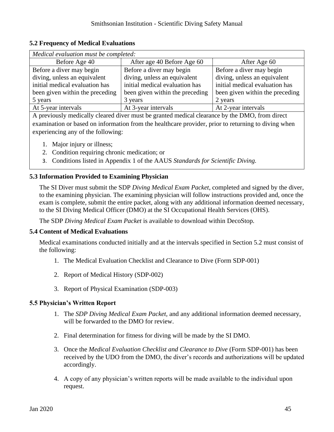### **5.2 Frequency of Medical Evaluations**

| Medical evaluation must be completed: |                                 |                                 |  |  |  |
|---------------------------------------|---------------------------------|---------------------------------|--|--|--|
| Before Age 40                         | After age 40 Before Age 60      | After Age 60                    |  |  |  |
| Before a diver may begin              | Before a diver may begin        | Before a diver may begin        |  |  |  |
| diving, unless an equivalent          | diving, unless an equivalent    | diving, unless an equivalent    |  |  |  |
| initial medical evaluation has        | initial medical evaluation has  | initial medical evaluation has  |  |  |  |
| been given within the preceding       | been given within the preceding | been given within the preceding |  |  |  |
| 5 years                               | 3 years                         | 2 years                         |  |  |  |
| At 5-year intervals                   | At 3-year intervals             | At 2-year intervals             |  |  |  |

A previously medically cleared diver must be granted medical clearance by the DMO, from direct examination or based on information from the healthcare provider, prior to returning to diving when experiencing any of the following:

- 1. Major injury or illness;
- 2. Condition requiring chronic medication; or
- 3. Conditions listed in Appendix 1 of the AAUS *Standards for Scientific Diving.*

# **5.3 Information Provided to Examining Physician**

The SI Diver must submit the SDP *Diving Medical Exam Packet*, completed and signed by the diver, to the examining physician. The examining physician will follow instructions provided and, once the exam is complete, submit the entire packet, along with any additional information deemed necessary, to the SI Diving Medical Officer (DMO) at the SI Occupational Health Services (OHS).

The SDP *Diving Medical Exam Packet* is available to download within DecoStop.

#### **5.4 Content of Medical Evaluations**

Medical examinations conducted initially and at the intervals specified in Section 5.2 must consist of the following:

- 1. The Medical Evaluation Checklist and Clearance to Dive (Form SDP-001)
- 2. Report of Medical History (SDP-002)
- 3. Report of Physical Examination (SDP-003)

#### **5.5 Physician's Written Report**

- 1. The *SDP Diving Medical Exam Packet,* and any additional information deemed necessary, will be forwarded to the DMO for review.
- 2. Final determination for fitness for diving will be made by the SI DMO.
- 3. Once the *Medical Evaluation Checklist and Clearance to Dive* (Form SDP-001) has been received by the UDO from the DMO, the diver's records and authorizations will be updated accordingly.
- 4. A copy of any physician's written reports will be made available to the individual upon request.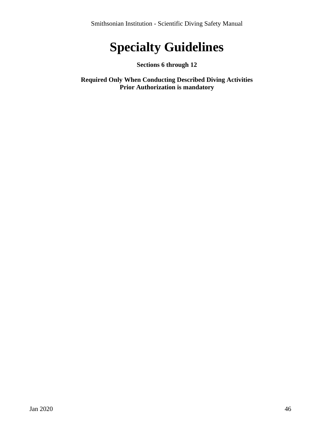# **Specialty Guidelines**

# **Sections 6 through 12**

**Required Only When Conducting Described Diving Activities Prior Authorization is mandatory**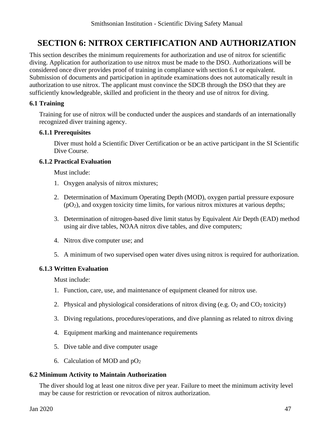# <span id="page-46-0"></span>**SECTION 6: NITROX CERTIFICATION AND AUTHORIZATION**

This section describes the minimum requirements for authorization and use of nitrox for scientific diving. Application for authorization to use nitrox must be made to the DSO. Authorizations will be considered once diver provides proof of training in compliance with section 6.1 or equivalent. Submission of documents and participation in aptitude examinations does not automatically result in authorization to use nitrox. The applicant must convince the SDCB through the DSO that they are sufficiently knowledgeable, skilled and proficient in the theory and use of nitrox for diving.

# **6.1 Training**

Training for use of nitrox will be conducted under the auspices and standards of an internationally recognized diver training agency.

#### **6.1.1 Prerequisites**

Diver must hold a Scientific Diver Certification or be an active participant in the SI Scientific Dive Course.

#### **6.1.2 Practical Evaluation**

Must include:

- 1. Oxygen analysis of nitrox mixtures;
- 2. Determination of Maximum Operating Depth (MOD), oxygen partial pressure exposure  $(pO<sub>2</sub>)$ , and oxygen toxicity time limits, for various nitrox mixtures at various depths;
- 3. Determination of nitrogen-based dive limit status by Equivalent Air Depth (EAD) method using air dive tables, NOAA nitrox dive tables, and dive computers;
- 4. Nitrox dive computer use; and
- 5. A minimum of two supervised open water dives using nitrox is required for authorization.

# **6.1.3 Written Evaluation**

Must include:

- 1. Function, care, use, and maintenance of equipment cleaned for nitrox use.
- 2. Physical and physiological considerations of nitrox diving (e.g.  $O_2$  and  $CO_2$  toxicity)
- 3. Diving regulations, procedures/operations, and dive planning as related to nitrox diving
- 4. Equipment marking and maintenance requirements
- 5. Dive table and dive computer usage
- 6. Calculation of MOD and  $pO<sub>2</sub>$

# **6.2 Minimum Activity to Maintain Authorization**

The diver should log at least one nitrox dive per year. Failure to meet the minimum activity level may be cause for restriction or revocation of nitrox authorization.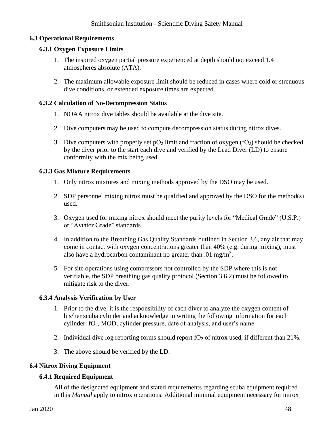# **6.3 Operational Requirements**

#### **6.3.1 Oxygen Exposure Limits**

- 1. The inspired oxygen partial pressure experienced at depth should not exceed 1.4 atmospheres absolute (ATA).
- 2. The maximum allowable exposure limit should be reduced in cases where cold or strenuous dive conditions, or extended exposure times are expected.

#### **6.3.2 Calculation of No-Decompression Status**

- 1. NOAA nitrox dive tables should be available at the dive site.
- 2. Dive computers may be used to compute decompression status during nitrox dives.
- 3. Dive computers with properly set  $pO_2$  limit and fraction of oxygen (fO<sub>2</sub>) should be checked by the diver prior to the start each dive and verified by the Lead Diver (LD) to ensure conformity with the mix being used.

#### **6.3.3 Gas Mixture Requirements**

- 1. Only nitrox mixtures and mixing methods approved by the DSO may be used.
- 2. SDP personnel mixing nitrox must be qualified and approved by the DSO for the method(s) used.
- 3. Oxygen used for mixing nitrox should meet the purity levels for "Medical Grade" (U.S.P.) or "Aviator Grade" standards.
- 4. In addition to the Breathing Gas Quality Standards outlined in Section 3.6, any air that may come in contact with oxygen concentrations greater than 40% (e.g. during mixing), must also have a hydrocarbon contaminant no greater than .01 mg/m<sup>3</sup>.
- 5. For site operations using compressors not controlled by the SDP where this is not verifiable, the SDP breathing gas quality protocol (Section 3.6.2) must be followed to mitigate risk to the diver.

#### **6.3.4 Analysis Verification by User**

- 1. Prior to the dive, it is the responsibility of each diver to analyze the oxygen content of his/her scuba cylinder and acknowledge in writing the following information for each cylinder: fO2, MOD, cylinder pressure, date of analysis, and user's name.
- 2. Individual dive log reporting forms should report  $fO<sub>2</sub>$  of nitrox used, if different than 21%.
- 3. The above should be verified by the LD.

#### **6.4 Nitrox Diving Equipment**

#### **6.4.1 Required Equipment**

All of the designated equipment and stated requirements regarding scuba equipment required in this *Manual* apply to nitrox operations. Additional minimal equipment necessary for nitrox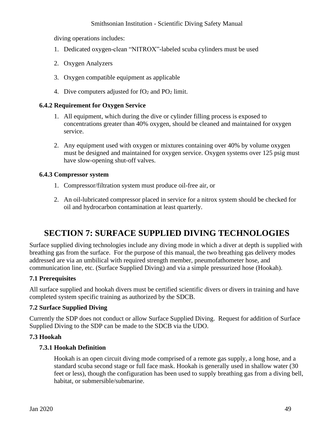diving operations includes:

- 1. Dedicated oxygen-clean "NITROX"-labeled scuba cylinders must be used
- 2. Oxygen Analyzers
- 3. Oxygen compatible equipment as applicable
- 4. Dive computers adjusted for  $fO_2$  and  $PO_2$  limit.

#### **6.4.2 Requirement for Oxygen Service**

- 1. All equipment, which during the dive or cylinder filling process is exposed to concentrations greater than 40% oxygen, should be cleaned and maintained for oxygen service.
- 2. Any equipment used with oxygen or mixtures containing over 40% by volume oxygen must be designed and maintained for oxygen service. Oxygen systems over 125 psig must have slow-opening shut-off valves.

#### **6.4.3 Compressor system**

- 1. Compressor/filtration system must produce oil-free air, or
- 2. An oil-lubricated compressor placed in service for a nitrox system should be checked for oil and hydrocarbon contamination at least quarterly.

# **SECTION 7: SURFACE SUPPLIED DIVING TECHNOLOGIES**

Surface supplied diving technologies include any diving mode in which a diver at depth is supplied with breathing gas from the surface. For the purpose of this manual, the two breathing gas delivery modes addressed are via an umbilical with required strength member, pneumofathometer hose, and communication line, etc. (Surface Supplied Diving) and via a simple pressurized hose (Hookah).

#### **7.1 Prerequisites**

All surface supplied and hookah divers must be certified scientific divers or divers in training and have completed system specific training as authorized by the SDCB.

#### **7.2 Surface Supplied Diving**

Currently the SDP does not conduct or allow Surface Supplied Diving. Request for addition of Surface Supplied Diving to the SDP can be made to the SDCB via the UDO.

#### **7.3 Hookah**

#### **7.3.1 Hookah Definition**

Hookah is an open circuit diving mode comprised of a remote gas supply, a long hose, and a standard scuba second stage or full face mask. Hookah is generally used in shallow water (30 feet or less), though the configuration has been used to supply breathing gas from a diving bell, habitat, or submersible/submarine.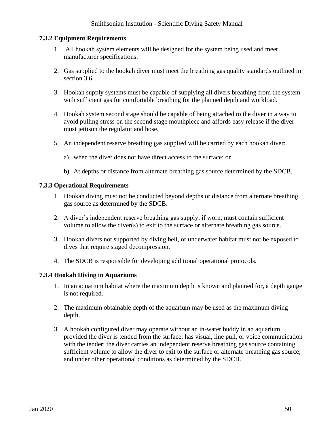#### **7.3.2 Equipment Requirements**

- 1. All hookah system elements will be designed for the system being used and meet manufacturer specifications.
- 2. Gas supplied to the hookah diver must meet the breathing gas quality standards outlined in section 3.6.
- 3. Hookah supply systems must be capable of supplying all divers breathing from the system with sufficient gas for comfortable breathing for the planned depth and workload.
- 4. Hookah system second stage should be capable of being attached to the diver in a way to avoid pulling stress on the second stage mouthpiece and affords easy release if the diver must jettison the regulator and hose.
- 5. An independent reserve breathing gas supplied will be carried by each hookah diver:
	- a) when the diver does not have direct access to the surface; or
	- b) At depths or distance from alternate breathing gas source determined by the SDCB.

#### **7.3.3 Operational Requirements**

- 1. Hookah diving must not be conducted beyond depths or distance from alternate breathing gas source as determined by the SDCB.
- 2. A diver's independent reserve breathing gas supply, if worn, must contain sufficient volume to allow the diver(s) to exit to the surface or alternate breathing gas source.
- 3. Hookah divers not supported by diving bell, or underwater habitat must not be exposed to dives that require staged decompression.
- 4. The SDCB is responsible for developing additional operational protocols.

#### **7.3.4 Hookah Diving in Aquariums**

- 1. In an aquarium habitat where the maximum depth is known and planned for, a depth gauge is not required.
- 2. The maximum obtainable depth of the aquarium may be used as the maximum diving depth.
- 3. A hookah configured diver may operate without an in-water buddy in an aquarium provided the diver is tended from the surface; has visual, line pull, or voice communication with the tender; the diver carries an independent reserve breathing gas source containing sufficient volume to allow the diver to exit to the surface or alternate breathing gas source; and under other operational conditions as determined by the SDCB.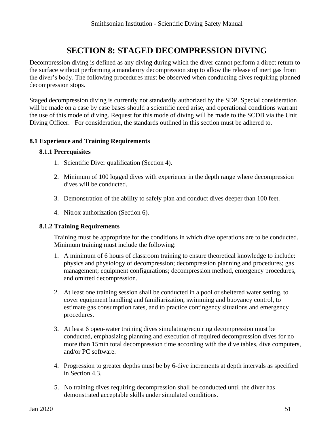# **SECTION 8: STAGED DECOMPRESSION DIVING**

Decompression diving is defined as any diving during which the diver cannot perform a direct return to the surface without performing a mandatory decompression stop to allow the release of inert gas from the diver's body. The following procedures must be observed when conducting dives requiring planned decompression stops.

Staged decompression diving is currently not standardly authorized by the SDP. Special consideration will be made on a case by case bases should a scientific need arise, and operational conditions warrant the use of this mode of diving. Request for this mode of diving will be made to the SCDB via the Unit Diving Officer. For consideration, the standards outlined in this section must be adhered to.

#### **8.1 Experience and Training Requirements**

#### **8.1.1 Prerequisites**

- 1. Scientific Diver qualification [\(Section 4\)](#page-30-0).
- 2. Minimum of 100 logged dives with experience in the depth range where decompression dives will be conducted.
- 3. Demonstration of the ability to safely plan and conduct dives deeper than 100 feet.
- 4. Nitrox authorization [\(Section 6\)](#page-46-0).

#### **8.1.2 Training Requirements**

Training must be appropriate for the conditions in which dive operations are to be conducted. Minimum training must include the following:

- 1. A minimum of 6 hours of classroom training to ensure theoretical knowledge to include: physics and physiology of decompression; decompression planning and procedures; gas management; equipment configurations; decompression method, emergency procedures, and omitted decompression.
- 2. At least one training session shall be conducted in a pool or sheltered water setting, to cover equipment handling and familiarization, swimming and buoyancy control, to estimate gas consumption rates, and to practice contingency situations and emergency procedures.
- 3. At least 6 open-water training dives simulating/requiring decompression must be conducted, emphasizing planning and execution of required decompression dives for no more than 15min total decompression time according with the dive tables, dive computers, and/or PC software.
- 4. Progression to greater depths must be by 6-dive increments at depth intervals as specified in Section 4.3.
- 5. No training dives requiring decompression shall be conducted until the diver has demonstrated acceptable skills under simulated conditions.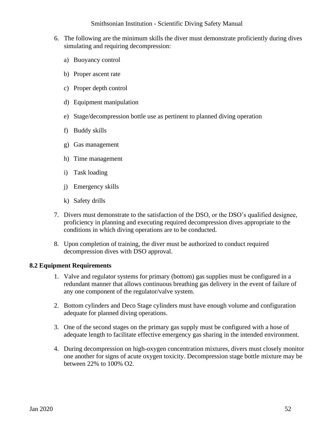- 6. The following are the minimum skills the diver must demonstrate proficiently during dives simulating and requiring decompression:
	- a) Buoyancy control
	- b) Proper ascent rate
	- c) Proper depth control
	- d) Equipment manipulation
	- e) Stage/decompression bottle use as pertinent to planned diving operation
	- f) Buddy skills
	- g) Gas management
	- h) Time management
	- i) Task loading
	- j) Emergency skills
	- k) Safety drills
- 7. Divers must demonstrate to the satisfaction of the DSO, or the DSO's qualified designee, proficiency in planning and executing required decompression dives appropriate to the conditions in which diving operations are to be conducted.
- 8. Upon completion of training, the diver must be authorized to conduct required decompression dives with DSO approval.

#### **8.2 Equipment Requirements**

- 1. Valve and regulator systems for primary (bottom) gas supplies must be configured in a redundant manner that allows continuous breathing gas delivery in the event of failure of any one component of the regulator/valve system.
- 2. Bottom cylinders and Deco Stage cylinders must have enough volume and configuration adequate for planned diving operations.
- 3. One of the second stages on the primary gas supply must be configured with a hose of adequate length to facilitate effective emergency gas sharing in the intended environment.
- 4. During decompression on high-oxygen concentration mixtures, divers must closely monitor one another for signs of acute oxygen toxicity. Decompression stage bottle mixture may be between 22% to 100% O2.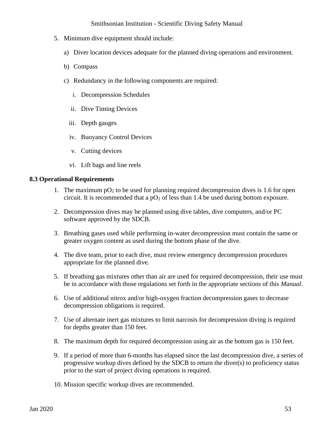- 5. Minimum dive equipment should include:
	- a) Diver location devices adequate for the planned diving operations and environment.
	- b) Compass
	- c) Redundancy in the following components are required:
		- i. Decompression Schedules
		- ii. Dive Timing Devices
		- iii. Depth gauges
		- iv. Buoyancy Control Devices
		- v. Cutting devices
		- vi. Lift bags and line reels

#### **8.3 Operational Requirements**

- 1. The maximum  $pO_2$  to be used for planning required decompression dives is 1.6 for open circuit. It is recommended that a  $pO_2$  of less than 1.4 be used during bottom exposure.
- 2. Decompression dives may be planned using dive tables, dive computers, and/or PC software approved by the SDCB.
- 3. Breathing gases used while performing in-water decompression must contain the same or greater oxygen content as used during the bottom phase of the dive.
- 4. The dive team, prior to each dive, must review emergency decompression procedures appropriate for the planned dive.
- 5. If breathing gas mixtures other than air are used for required decompression, their use must be in accordance with those regulations set forth in the appropriate sections of this *Manual*.
- 6. Use of additional nitrox and/or high-oxygen fraction decompression gases to decrease decompression obligations is required.
- 7. Use of alternate inert gas mixtures to limit narcosis for decompression diving is required for depths greater than 150 feet.
- 8. The maximum depth for required decompression using air as the bottom gas is 150 feet.
- 9. If a period of more than 6-months has elapsed since the last decompression dive, a series of progressive workup dives defined by the SDCB to return the diver(s) to proficiency status prior to the start of project diving operations is required.
- 10. Mission specific workup dives are recommended.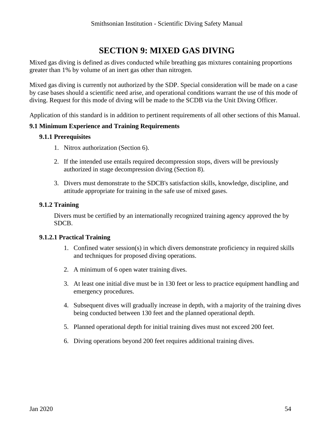# **SECTION 9: MIXED GAS DIVING**

Mixed gas diving is defined as dives conducted while breathing gas mixtures containing proportions greater than 1% by volume of an inert gas other than nitrogen.

Mixed gas diving is currently not authorized by the SDP. Special consideration will be made on a case by case bases should a scientific need arise, and operational conditions warrant the use of this mode of diving. Request for this mode of diving will be made to the SCDB via the Unit Diving Officer.

Application of this standard is in addition to pertinent requirements of all other sections of this Manual.

#### **9.1 Minimum Experience and Training Requirements**

# **9.1.1 Prerequisites**

- 1. Nitrox authorization (Section 6).
- 2. If the intended use entails required decompression stops, divers will be previously authorized in stage decompression diving (Section 8).
- 3. Divers must demonstrate to the SDCB's satisfaction skills, knowledge, discipline, and attitude appropriate for training in the safe use of mixed gases.

#### **9.1.2 Training**

Divers must be certified by an internationally recognized training agency approved the by SDCB.

#### **9.1.2.1 Practical Training**

- 1. Confined water session(s) in which divers demonstrate proficiency in required skills and techniques for proposed diving operations.
- 2. A minimum of 6 open water training dives.
- 3. At least one initial dive must be in 130 feet or less to practice equipment handling and emergency procedures.
- 4. Subsequent dives will gradually increase in depth, with a majority of the training dives being conducted between 130 feet and the planned operational depth.
- 5. Planned operational depth for initial training dives must not exceed 200 feet.
- 6. Diving operations beyond 200 feet requires additional training dives.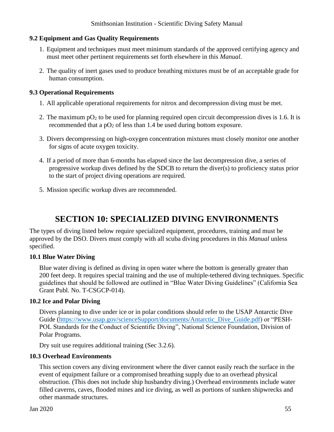# **9.2 Equipment and Gas Quality Requirements**

- 1. Equipment and techniques must meet minimum standards of the approved certifying agency and must meet other pertinent requirements set forth elsewhere in this *Manual*.
- 2. The quality of inert gases used to produce breathing mixtures must be of an acceptable grade for human consumption.

#### **9.3 Operational Requirements**

- 1. All applicable operational requirements for nitrox and decompression diving must be met.
- 2. The maximum  $pO_2$  to be used for planning required open circuit decompression dives is 1.6. It is recommended that a  $pO_2$  of less than 1.4 be used during bottom exposure.
- 3. Divers decompressing on high-oxygen concentration mixtures must closely monitor one another for signs of acute oxygen toxicity.
- 4. If a period of more than 6-months has elapsed since the last decompression dive, a series of progressive workup dives defined by the SDCB to return the diver(s) to proficiency status prior to the start of project diving operations are required.
- 5. Mission specific workup dives are recommended.

# **SECTION 10: SPECIALIZED DIVING ENVIRONMENTS**

The types of diving listed below require specialized equipment, procedures, training and must be approved by the DSO. Divers must comply with all scuba diving procedures in this *Manual* unless specified.

#### **10.1 Blue Water Diving**

Blue water diving is defined as diving in open water where the bottom is generally greater than 200 feet deep. It requires special training and the use of multiple-tethered diving techniques. Specific guidelines that should be followed are outlined in "Blue Water Diving Guidelines" (California Sea Grant Publ. No. T-CSGCP-014).

#### **10.2 Ice and Polar Diving**

Divers planning to dive under ice or in polar conditions should refer to the USAP Antarctic Dive Guide [\(https://www.usap.gov/scienceSupport/documents/Antarctic\\_Dive\\_Guide.pdf\)](https://www.usap.gov/scienceSupport/documents/Antarctic_Dive_Guide.pdf) or "PESH-POL Standards for the Conduct of Scientific Diving", National Science Foundation, Division of Polar Programs.

Dry suit use requires additional training (Sec 3.2.6).

# **10.3 Overhead Environments**

This section covers any diving environment where the diver cannot easily reach the surface in the event of equipment failure or a compromised breathing supply due to an overhead physical obstruction. (This does not include ship husbandry diving.) Overhead environments include water filled caverns, caves, flooded mines and ice diving, as well as portions of sunken shipwrecks and other manmade structures.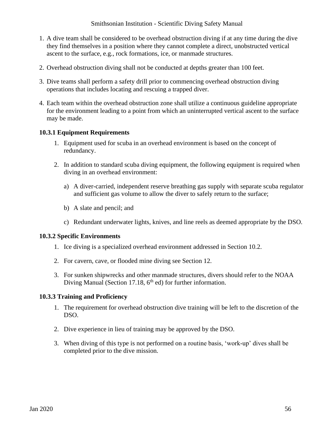- 1. A dive team shall be considered to be overhead obstruction diving if at any time during the dive they find themselves in a position where they cannot complete a direct, unobstructed vertical ascent to the surface, e.g., rock formations, ice, or manmade structures.
- 2. Overhead obstruction diving shall not be conducted at depths greater than 100 feet.
- 3. Dive teams shall perform a safety drill prior to commencing overhead obstruction diving operations that includes locating and rescuing a trapped diver.
- 4. Each team within the overhead obstruction zone shall utilize a continuous guideline appropriate for the environment leading to a point from which an uninterrupted vertical ascent to the surface may be made.

#### **10.3.1 Equipment Requirements**

- 1. Equipment used for scuba in an overhead environment is based on the concept of redundancy.
- 2. In addition to standard scuba diving equipment, the following equipment is required when diving in an overhead environment:
	- a) A diver-carried, independent reserve breathing gas supply with separate scuba regulator and sufficient gas volume to allow the diver to safely return to the surface;
	- b) A slate and pencil; and
	- c) Redundant underwater lights, knives, and line reels as deemed appropriate by the DSO.

#### **10.3.2 Specific Environments**

- 1. Ice diving is a specialized overhead environment addressed in Section 10.2.
- 2. For cavern, cave, or flooded mine diving see Section 12.
- 3. For sunken shipwrecks and other manmade structures, divers should refer to the NOAA Diving Manual (Section 17.18,  $6<sup>th</sup>$  ed) for further information.

#### **10.3.3 Training and Proficiency**

- 1. The requirement for overhead obstruction dive training will be left to the discretion of the DSO.
- 2. Dive experience in lieu of training may be approved by the DSO.
- 3. When diving of this type is not performed on a routine basis, 'work-up' dives shall be completed prior to the dive mission.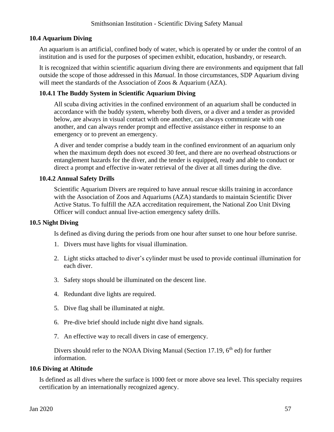### **10.4 Aquarium Diving**

An aquarium is an artificial, confined body of water, which is operated by or under the control of an institution and is used for the purposes of specimen exhibit, education, husbandry, or research.

It is recognized that within scientific aquarium diving there are environments and equipment that fall outside the scope of those addressed in this *Manual*. In those circumstances, SDP Aquarium diving will meet the standards of the Association of Zoos & Aquarium (AZA).

# **10.4.1 The Buddy System in Scientific Aquarium Diving**

All scuba diving activities in the confined environment of an aquarium shall be conducted in accordance with the buddy system, whereby both divers, or a diver and a tender as provided below, are always in visual contact with one another, can always communicate with one another, and can always render prompt and effective assistance either in response to an emergency or to prevent an emergency.

A diver and tender comprise a buddy team in the confined environment of an aquarium only when the maximum depth does not exceed 30 feet, and there are no overhead obstructions or entanglement hazards for the diver, and the tender is equipped, ready and able to conduct or direct a prompt and effective in-water retrieval of the diver at all times during the dive.

# **10.4.2 Annual Safety Drills**

Scientific Aquarium Divers are required to have annual rescue skills training in accordance with the Association of Zoos and Aquariums (AZA) standards to maintain Scientific Diver Active Status. To fulfill the AZA accreditation requirement, the National Zoo Unit Diving Officer will conduct annual live-action emergency safety drills.

#### **10.5 Night Diving**

Is defined as diving during the periods from one hour after sunset to one hour before sunrise.

- 1. Divers must have lights for visual illumination.
- 2. Light sticks attached to diver's cylinder must be used to provide continual illumination for each diver.
- 3. Safety stops should be illuminated on the descent line.
- 4. Redundant dive lights are required.
- 5. Dive flag shall be illuminated at night.
- 6. Pre-dive brief should include night dive hand signals.
- 7. An effective way to recall divers in case of emergency.

Divers should refer to the NOAA Diving Manual (Section 17.19,  $6<sup>th</sup>$  ed) for further information.

#### **10.6 Diving at Altitude**

Is defined as all dives where the surface is 1000 feet or more above sea level. This specialty requires certification by an internationally recognized agency.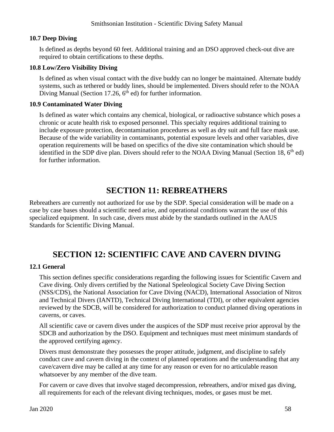#### **10.7 Deep Diving**

Is defined as depths beyond 60 feet. Additional training and an DSO approved check-out dive are required to obtain certifications to these depths.

### **10.8 Low/Zero Visibility Diving**

Is defined as when visual contact with the dive buddy can no longer be maintained. Alternate buddy systems, such as tethered or buddy lines, should be implemented. Divers should refer to the NOAA Diving Manual (Section 17.26,  $6<sup>th</sup>$  ed) for further information.

# **10.9 Contaminated Water Diving**

Is defined as water which contains any chemical, biological, or radioactive substance which poses a chronic or acute health risk to exposed personnel. This specialty requires additional training to include exposure protection, decontamination procedures as well as dry suit and full face mask use. Because of the wide variability in contaminants, potential exposure levels and other variables, dive operation requirements will be based on specifics of the dive site contamination which should be identified in the SDP dive plan. Divers should refer to the NOAA Diving Manual (Section 18, 6<sup>th</sup> ed) for further information.

# **SECTION 11: REBREATHERS**

Rebreathers are currently not authorized for use by the SDP. Special consideration will be made on a case by case bases should a scientific need arise, and operational conditions warrant the use of this specialized equipment. In such case, divers must abide by the standards outlined in the AAUS Standards for Scientific Diving Manual.

# **SECTION 12: SCIENTIFIC CAVE AND CAVERN DIVING**

# **12.1 General**

This section defines specific considerations regarding the following issues for Scientific Cavern and Cave diving. Only divers certified by the National Speleological Society Cave Diving Section (NSS/CDS), the National Association for Cave Diving (NACD), International Association of Nitrox and Technical Divers (IANTD), Technical Diving International (TDI), or other equivalent agencies reviewed by the SDCB, will be considered for authorization to conduct planned diving operations in caverns, or caves.

All scientific cave or cavern dives under the auspices of the SDP must receive prior approval by the SDCB and authorization by the DSO. Equipment and techniques must meet minimum standards of the approved certifying agency.

Divers must demonstrate they possesses the proper attitude, judgment, and discipline to safely conduct cave and cavern diving in the context of planned operations and the understanding that any cave/cavern dive may be called at any time for any reason or even for no articulable reason whatsoever by any member of the dive team.

For cavern or cave dives that involve staged decompression, rebreathers, and/or mixed gas diving, all requirements for each of the relevant diving techniques, modes, or gases must be met.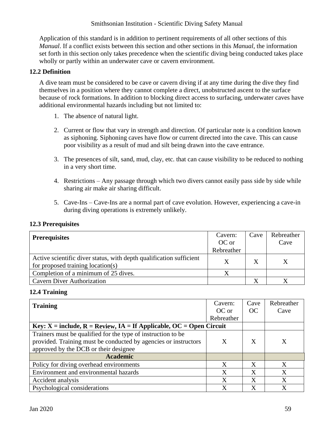Application of this standard is in addition to pertinent requirements of all other sections of this *Manual*. If a conflict exists between this section and other sections in this *Manual*, the information set forth in this section only takes precedence when the scientific diving being conducted takes place wholly or partly within an underwater cave or cavern environment.

# **12.2 Definition**

A dive team must be considered to be cave or cavern diving if at any time during the dive they find themselves in a position where they cannot complete a direct, unobstructed ascent to the surface because of rock formations. In addition to blocking direct access to surfacing, underwater caves have additional environmental hazards including but not limited to:

- 1. The absence of natural light.
- 2. Current or flow that vary in strength and direction. Of particular note is a condition known as siphoning. Siphoning caves have flow or current directed into the cave. This can cause poor visibility as a result of mud and silt being drawn into the cave entrance.
- 3. The presences of silt, sand, mud, clay, etc. that can cause visibility to be reduced to nothing in a very short time.
- 4. Restrictions Any passage through which two divers cannot easily pass side by side while sharing air make air sharing difficult.
- 5. Cave-Ins Cave-Ins are a normal part of cave evolution. However, experiencing a cave-in during diving operations is extremely unlikely.

| <b>Prerequisites</b>                                                | Cavern:    | Cave | Rebreather |
|---------------------------------------------------------------------|------------|------|------------|
|                                                                     | OC or      |      | Cave       |
|                                                                     | Rebreather |      |            |
| Active scientific diver status, with depth qualification sufficient |            |      |            |
| for proposed training location(s)                                   |            |      |            |
| Completion of a minimum of 25 dives.                                |            |      |            |
| <b>Cavern Diver Authorization</b>                                   |            |      |            |

# **12.3 Prerequisites**

#### **12.4 Training**

| <b>Training</b>                                                           | Cavern:    | Cave         | Rebreather |
|---------------------------------------------------------------------------|------------|--------------|------------|
|                                                                           | OC or      | OC           | Cave       |
|                                                                           | Rebreather |              |            |
| Key: $X =$ include, $R =$ Review, $IA =$ If Applicable, OC = Open Circuit |            |              |            |
| Trainers must be qualified for the type of instruction to be              |            |              |            |
| provided. Training must be conducted by agencies or instructors           | X          | X            |            |
| approved by the DCB or their designee                                     |            |              |            |
| <b>Academic</b>                                                           |            |              |            |
| Policy for diving overhead environments                                   | X          | $\mathbf{X}$ | X          |
| Environment and environmental hazards                                     | X          | X            | X          |
| Accident analysis                                                         | X          | X            | X          |
| Psychological considerations                                              | X          | X            | X          |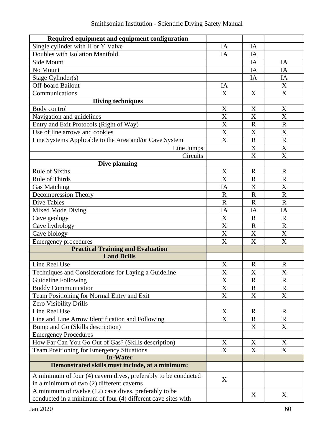| Required equipment and equipment configuration                 |                           |                       |                           |
|----------------------------------------------------------------|---------------------------|-----------------------|---------------------------|
| Single cylinder with H or Y Valve                              | IA                        | IA                    |                           |
| Doubles with Isolation Manifold                                | IA                        | IA                    |                           |
| Side Mount                                                     |                           | IA                    | IA                        |
| No Mount                                                       |                           | IA                    | IA                        |
| Stage Cylinder(s)                                              |                           | IA                    | IA                        |
| <b>Off-board Bailout</b>                                       | IA                        |                       | X                         |
| Communications                                                 | X                         | X                     | X                         |
| <b>Diving techniques</b>                                       |                           |                       |                           |
| Body control                                                   | X                         | X                     | X                         |
| Navigation and guidelines                                      | X                         | X                     | $\boldsymbol{X}$          |
| Entry and Exit Protocols (Right of Way)                        | X                         | $\mathbf R$           | $\mathbf R$               |
| Use of line arrows and cookies                                 | $\mathbf X$               | X                     | $\boldsymbol{\mathrm{X}}$ |
| Line Systems Applicable to the Area and/or Cave System         | $\overline{\text{X}}$     | $\overline{\text{R}}$ | $\mathbf R$               |
| Line Jumps                                                     |                           | X                     | $\boldsymbol{\mathrm{X}}$ |
| Circuits                                                       |                           | X                     | $\boldsymbol{\mathrm{X}}$ |
| Dive planning                                                  |                           |                       |                           |
| <b>Rule of Sixths</b>                                          | X                         | $\mathbf R$           | $\mathbf R$               |
| Rule of Thirds                                                 | X                         | $\mathbf R$           | $\mathbf R$               |
| <b>Gas Matching</b>                                            | IA                        | X                     | X                         |
| Decompression Theory                                           | $\mathbf R$               | $\mathbb{R}$          | $\mathbf R$               |
| <b>Dive Tables</b>                                             | $\mathbf R$               | $\mathbf R$           | $\mathbf R$               |
| <b>Mixed Mode Diving</b>                                       | IA                        | IA                    | IA                        |
| Cave geology                                                   | $\mathbf X$               | $\mathbf R$           | $\mathbf R$               |
| Cave hydrology                                                 | X                         | $\mathbf R$           | $\mathbf R$               |
| Cave biology                                                   | $\boldsymbol{\mathrm{X}}$ | X                     | X                         |
| <b>Emergency procedures</b>                                    | X                         | X                     | X                         |
| <b>Practical Training and Evaluation</b>                       |                           |                       |                           |
| <b>Land Drills</b>                                             |                           |                       |                           |
| Line Reel Use                                                  | $\boldsymbol{\mathrm{X}}$ | $\mathbf R$           | $\mathbf R$               |
| Techniques and Considerations for Laying a Guideline           | X                         | X                     | X                         |
| Guideline Following                                            | X                         | $\mathbf R$           | R                         |
| <b>Buddy Communication</b>                                     | X                         | $\mathbf R$           | $\mathbf R$               |
| Team Positioning for Normal Entry and Exit                     | $\mathbf X$               | X                     | X                         |
| Zero Visibility Drills                                         |                           |                       |                           |
| Line Reel Use                                                  | X                         | $\mathbb{R}$          | $\mathbf R$               |
| Line and Line Arrow Identification and Following               | X                         | $\mathbf R$           | R                         |
| Bump and Go (Skills description)                               |                           | X                     | X                         |
| <b>Emergency Procedures</b>                                    |                           |                       |                           |
| How Far Can You Go Out of Gas? (Skills description)            | X                         | X                     | X                         |
| Team Positioning for Emergency Situations                      | X                         | X                     | X                         |
| <b>In-Water</b>                                                |                           |                       |                           |
| Demonstrated skills must include, at a minimum:                |                           |                       |                           |
| A minimum of four (4) cavern dives, preferably to be conducted | X                         |                       |                           |
| in a minimum of two (2) different caverns                      |                           |                       |                           |
| A minimum of twelve (12) cave dives, preferably to be          |                           |                       |                           |
| conducted in a minimum of four (4) different cave sites with   |                           | X                     | X                         |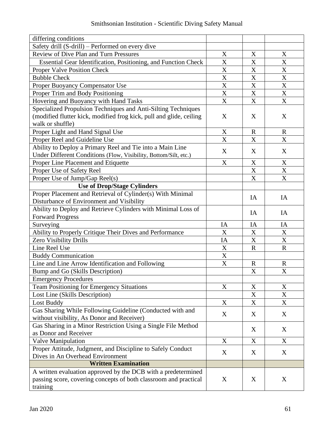| differing conditions                                                |                           |                           |                           |
|---------------------------------------------------------------------|---------------------------|---------------------------|---------------------------|
| Safety drill (S-drill) – Performed on every dive                    |                           |                           |                           |
| Review of Dive Plan and Turn Pressures                              | $\mathbf X$               | X                         | X                         |
| Essential Gear Identification, Positioning, and Function Check      | X                         | X                         | X                         |
| Proper Valve Position Check                                         | X                         | X                         | X                         |
| <b>Bubble Check</b>                                                 | X                         | $\boldsymbol{X}$          | $\boldsymbol{\mathrm{X}}$ |
| Proper Buoyancy Compensator Use                                     | X                         | $\boldsymbol{\mathrm{X}}$ | X                         |
| Proper Trim and Body Positioning                                    | $\boldsymbol{\mathrm{X}}$ | X                         | X                         |
| Hovering and Buoyancy with Hand Tasks                               | $\boldsymbol{X}$          | $\boldsymbol{\mathrm{X}}$ | X                         |
| Specialized Propulsion Techniques and Anti-Silting Techniques       |                           |                           |                           |
| (modified flutter kick, modified frog kick, pull and glide, ceiling | X                         | X                         | X                         |
| walk or shuffle)                                                    |                           |                           |                           |
| Proper Light and Hand Signal Use                                    | X                         | $\mathbf R$               | $\mathbf R$               |
| Proper Reel and Guideline Use                                       | X                         | X                         | X                         |
| Ability to Deploy a Primary Reel and Tie into a Main Line           |                           |                           |                           |
| Under Different Conditions (Flow, Visibility, Bottom/Silt, etc.)    | X                         | X                         | X                         |
| Proper Line Placement and Etiquette                                 | X                         | X                         | X                         |
| Proper Use of Safety Reel                                           |                           | $\boldsymbol{\mathrm{X}}$ | X                         |
| Proper Use of Jump/Gap Reel(s)                                      |                           | X                         | X                         |
| <b>Use of Drop/Stage Cylinders</b>                                  |                           |                           |                           |
| Proper Placement and Retrieval of Cylinder(s) With Minimal          |                           |                           |                           |
| Disturbance of Environment and Visibility                           |                           | IA                        | IA                        |
| Ability to Deploy and Retrieve Cylinders with Minimal Loss of       |                           |                           |                           |
| <b>Forward Progress</b>                                             |                           | IA                        | IA                        |
| Surveying                                                           | IA                        | IA                        | IA                        |
| Ability to Properly Critique Their Dives and Performance            | X                         | X                         | X                         |
| Zero Visibility Drills                                              | IA                        | X                         | X                         |
| Line Reel Use                                                       | X                         | $\mathbf R$               | $\mathbf R$               |
| <b>Buddy Communication</b>                                          | $\mathbf X$               |                           |                           |
| Line and Line Arrow Identification and Following                    | $\mathbf X$               | $\mathbf R$               | $\mathbf R$               |
| Bump and Go (Skills Description)                                    |                           | $\boldsymbol{\mathrm{X}}$ | X                         |
| <b>Emergency Procedures</b>                                         |                           |                           |                           |
| <b>Team Positioning for Emergency Situations</b>                    | X                         | X                         | X                         |
| Lost Line (Skills Description)                                      |                           | X                         | X                         |
| Lost Buddy                                                          | X                         | X                         | X                         |
| Gas Sharing While Following Guideline (Conducted with and           |                           |                           |                           |
| without visibility, As Donor and Receiver)                          | X                         | X                         | X                         |
| Gas Sharing in a Minor Restriction Using a Single File Method       |                           |                           |                           |
| as Donor and Receiver                                               |                           | X                         | X                         |
| Valve Manipulation                                                  | X                         | X                         | X                         |
| Proper Attitude, Judgment, and Discipline to Safely Conduct         |                           |                           |                           |
| Dives in An Overhead Environment                                    | X                         | X                         | X                         |
| <b>Written Examination</b>                                          |                           |                           |                           |
| A written evaluation approved by the DCB with a predetermined       |                           |                           |                           |
| passing score, covering concepts of both classroom and practical    | X                         | X                         | X                         |
| training                                                            |                           |                           |                           |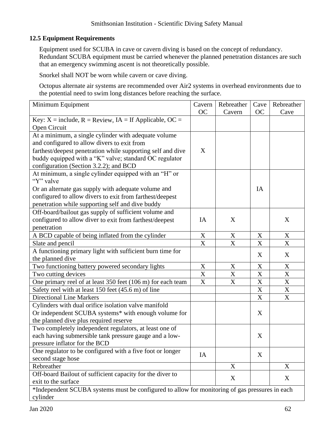# **12.5 Equipment Requirements**

Equipment used for SCUBA in cave or cavern diving is based on the concept of redundancy. Redundant SCUBA equipment must be carried whenever the planned penetration distances are such that an emergency swimming ascent is not theoretically possible.

Snorkel shall NOT be worn while cavern or cave diving.

Octopus alternate air systems are recommended over Air2 systems in overhead environments due to the potential need to swim long distances before reaching the surface.

| Minimum Equipment                                                                              | Cavern                    | Rebreather                | Cave                      | Rebreather  |
|------------------------------------------------------------------------------------------------|---------------------------|---------------------------|---------------------------|-------------|
|                                                                                                | <b>OC</b>                 | Cavern                    | OC                        | Cave        |
| Key: $X =$ include, $R =$ Review, $IA =$ If Applicable, OC =                                   |                           |                           |                           |             |
| Open Circuit                                                                                   |                           |                           |                           |             |
| At a minimum, a single cylinder with adequate volume                                           |                           |                           |                           |             |
| and configured to allow divers to exit from                                                    |                           |                           |                           |             |
| farthest/deepest penetration while supporting self and dive                                    | X                         |                           |                           |             |
| buddy equipped with a "K" valve; standard OC regulator                                         |                           |                           |                           |             |
| configuration (Section 3.2.2); and BCD                                                         |                           |                           |                           |             |
| At minimum, a single cylinder equipped with an "H" or                                          |                           |                           |                           |             |
| "Y" valve                                                                                      |                           |                           |                           |             |
| Or an alternate gas supply with adequate volume and                                            |                           |                           | IA                        |             |
| configured to allow divers to exit from farthest/deepest                                       |                           |                           |                           |             |
| penetration while supporting self and dive buddy                                               |                           |                           |                           |             |
| Off-board/bailout gas supply of sufficient volume and                                          |                           |                           |                           |             |
| configured to allow diver to exit from farthest/deepest                                        | IA                        | X                         |                           | X           |
| penetration                                                                                    |                           |                           |                           |             |
| A BCD capable of being inflated from the cylinder                                              | X                         | X                         | X                         | $\mathbf X$ |
| Slate and pencil                                                                               | $\boldsymbol{\mathrm{X}}$ | $\boldsymbol{\mathrm{X}}$ | X                         | X           |
| A functioning primary light with sufficient burn time for                                      |                           |                           | X                         | X           |
| the planned dive                                                                               |                           |                           |                           |             |
| Two functioning battery powered secondary lights                                               | X                         | X                         | $\mathbf X$               | $\mathbf X$ |
| Two cutting devices                                                                            | X                         | X                         | $\mathbf X$               | $\mathbf X$ |
| One primary reel of at least 350 feet (106 m) for each team                                    | $\mathbf X$               | $\boldsymbol{\mathrm{X}}$ | $\mathbf X$               | $\mathbf X$ |
| Safety reel with at least 150 feet (45.6 m) of line                                            |                           |                           | $\boldsymbol{\mathrm{X}}$ | $\mathbf X$ |
| <b>Directional Line Markers</b>                                                                |                           |                           | $\mathbf X$               | $\mathbf X$ |
| Cylinders with dual orifice isolation valve manifold                                           |                           |                           |                           |             |
| Or independent SCUBA systems* with enough volume for                                           |                           |                           | X                         |             |
| the planned dive plus required reserve                                                         |                           |                           |                           |             |
| Two completely independent regulators, at least one of                                         |                           |                           |                           |             |
| each having submersible tank pressure gauge and a low-                                         |                           |                           | X                         |             |
| pressure inflator for the BCD                                                                  |                           |                           |                           |             |
| One regulator to be configured with a five foot or longer                                      | IA                        |                           | X                         |             |
| second stage hose                                                                              |                           |                           |                           |             |
| Rebreather                                                                                     |                           | X                         |                           | X           |
| Off-board Bailout of sufficient capacity for the diver to                                      |                           | X                         |                           | X           |
| exit to the surface                                                                            |                           |                           |                           |             |
| *Independent SCUBA systems must be configured to allow for monitoring of gas pressures in each |                           |                           |                           |             |
| cylinder                                                                                       |                           |                           |                           |             |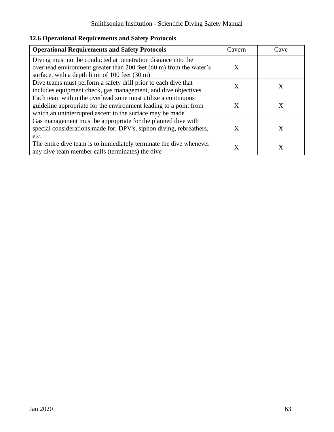|  | <b>12.6 Operational Requirements and Safety Protocols</b> |  |
|--|-----------------------------------------------------------|--|
|--|-----------------------------------------------------------|--|

| <b>Operational Requirements and Safety Protocols</b>                                                                                                                                          | Cavern | Cave |
|-----------------------------------------------------------------------------------------------------------------------------------------------------------------------------------------------|--------|------|
| Diving must not be conducted at penetration distance into the<br>overhead environment greater than 200 feet (60 m) from the water's<br>surface, with a depth limit of 100 feet (30 m)         | X      |      |
| Dive teams must perform a safety drill prior to each dive that<br>includes equipment check, gas management, and dive objectives                                                               | X      | X    |
| Each team within the overhead zone must utilize a continuous<br>guideline appropriate for the environment leading to a point from<br>which an uninterrupted ascent to the surface may be made | X      | X    |
| Gas management must be appropriate for the planned dive with<br>special considerations made for; DPV's, siphon diving, rebreathers,<br>etc.                                                   | X      | X    |
| The entire dive team is to immediately terminate the dive whenever<br>any dive team member calls (terminates) the dive                                                                        | X      | Х    |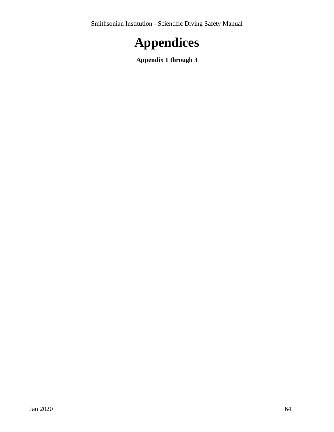

**Appendix 1 through 3**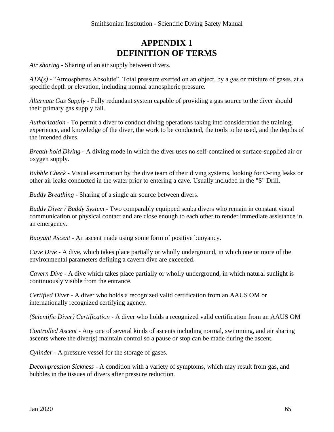# **APPENDIX 1 DEFINITION OF TERMS**

*Air sharing* - Sharing of an air supply between divers.

*ATA(s)* - "Atmospheres Absolute", Total pressure exerted on an object, by a gas or mixture of gases, at a specific depth or elevation, including normal atmospheric pressure.

*Alternate Gas Supply* - Fully redundant system capable of providing a gas source to the diver should their primary gas supply fail.

*Authorization -* To permit a diver to conduct diving operations taking into consideration the training, experience, and knowledge of the diver, the work to be conducted, the tools to be used, and the depths of the intended dives.

*Breath-hold Diving* - A diving mode in which the diver uses no self-contained or surface-supplied air or oxygen supply.

*Bubble Check* **-** Visual examination by the dive team of their diving systems, looking for O-ring leaks or other air leaks conducted in the water prior to entering a cave. Usually included in the "S" Drill.

*Buddy Breathing* - Sharing of a single air source between divers.

*Buddy Diver / Buddy System -* Two comparably equipped scuba divers who remain in constant visual communication or physical contact and are close enough to each other to render immediate assistance in an emergency.

*Buoyant Ascent* - An ascent made using some form of positive buoyancy.

*Cave Dive* - A dive, which takes place partially or wholly underground, in which one or more of the environmental parameters defining a cavern dive are exceeded.

*Cavern Dive* **-** A dive which takes place partially or wholly underground, in which natural sunlight is continuously visible from the entrance.

*Certified Diver* - A diver who holds a recognized valid certification from an AAUS OM or internationally recognized certifying agency.

*(Scientific Diver) Certification -* A diver who holds a recognized valid certification from an AAUS OM

*Controlled Ascent* - Any one of several kinds of ascents including normal, swimming, and air sharing ascents where the diver(s) maintain control so a pause or stop can be made during the ascent.

*Cylinder* - A pressure vessel for the storage of gases.

*Decompression Sickness* - A condition with a variety of symptoms, which may result from gas, and bubbles in the tissues of divers after pressure reduction.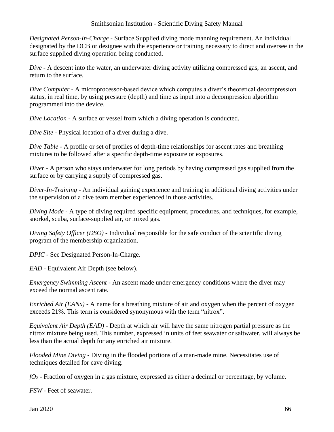*Designated Person-In-Charge* - Surface Supplied diving mode manning requirement. An individual designated by the DCB or designee with the experience or training necessary to direct and oversee in the surface supplied diving operation being conducted.

*Dive* - A descent into the water, an underwater diving activity utilizing compressed gas, an ascent, and return to the surface.

*Dive Computer* - A microprocessor-based device which computes a diver's theoretical decompression status, in real time, by using pressure (depth) and time as input into a decompression algorithm programmed into the device.

*Dive Location* - A surface or vessel from which a diving operation is conducted.

*Dive Site* - Physical location of a diver during a dive.

*Dive Table* - A profile or set of profiles of depth-time relationships for ascent rates and breathing mixtures to be followed after a specific depth-time exposure or exposures.

*Diver* - A person who stays underwater for long periods by having compressed gas supplied from the surface or by carrying a supply of compressed gas.

*Diver-In-Training* - An individual gaining experience and training in additional diving activities under the supervision of a dive team member experienced in those activities.

*Diving Mode* - A type of diving required specific equipment, procedures, and techniques, for example, snorkel, scuba, surface-supplied air, or mixed gas.

*Diving Safety Officer (DSO)* - Individual responsible for the safe conduct of the scientific diving program of the membership organization.

*DPIC* - See Designated Person-In-Charge.

*EAD* - Equivalent Air Depth (see below).

*Emergency Swimming Ascent* - An ascent made under emergency conditions where the diver may exceed the normal ascent rate.

*Enriched Air (EANx)* - A name for a breathing mixture of air and oxygen when the percent of oxygen exceeds 21%. This term is considered synonymous with the term "nitrox".

*Equivalent Air Depth (EAD)* - Depth at which air will have the same nitrogen partial pressure as the nitrox mixture being used. This number, expressed in units of feet seawater or saltwater, will always be less than the actual depth for any enriched air mixture.

*Flooded Mine Diving* - Diving in the flooded portions of a man-made mine. Necessitates use of techniques detailed for cave diving.

*fO<sup>2</sup>* - Fraction of oxygen in a gas mixture, expressed as either a decimal or percentage, by volume.

*FSW* - Feet of seawater.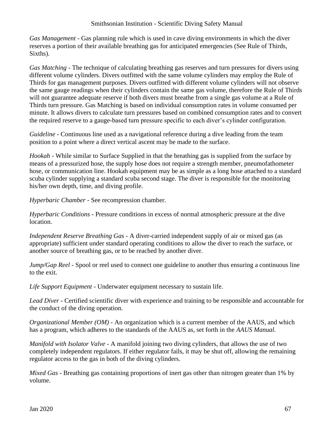*Gas Management* - Gas planning rule which is used in cave diving environments in which the diver reserves a portion of their available breathing gas for anticipated emergencies (See Rule of Thirds, Sixths).

*Gas Matching* - The technique of calculating breathing gas reserves and turn pressures for divers using different volume cylinders. Divers outfitted with the same volume cylinders may employ the Rule of Thirds for gas management purposes. Divers outfitted with different volume cylinders will not observe the same gauge readings when their cylinders contain the same gas volume, therefore the Rule of Thirds will not guarantee adequate reserve if both divers must breathe from a single gas volume at a Rule of Thirds turn pressure. Gas Matching is based on individual consumption rates in volume consumed per minute. It allows divers to calculate turn pressures based on combined consumption rates and to convert the required reserve to a gauge-based turn pressure specific to each diver's cylinder configuration.

*Guideline* - Continuous line used as a navigational reference during a dive leading from the team position to a point where a direct vertical ascent may be made to the surface.

*Hookah* - While similar to Surface Supplied in that the breathing gas is supplied from the surface by means of a pressurized hose, the supply hose does not require a strength member, pneumofathometer hose, or communication line. Hookah equipment may be as simple as a long hose attached to a standard scuba cylinder supplying a standard scuba second stage. The diver is responsible for the monitoring his/her own depth, time, and diving profile.

*Hyperbaric Chamber* - See recompression chamber.

*Hyperbaric Conditions* - Pressure conditions in excess of normal atmospheric pressure at the dive location.

*Independent Reserve Breathing Gas* - A diver-carried independent supply of air or mixed gas (as appropriate) sufficient under standard operating conditions to allow the diver to reach the surface, or another source of breathing gas, or to be reached by another diver.

*Jump/Gap Reel* - Spool or reel used to connect one guideline to another thus ensuring a continuous line to the exit.

*Life Support Equipment* - Underwater equipment necessary to sustain life.

*Lead Diver* - Certified scientific diver with experience and training to be responsible and accountable for the conduct of the diving operation.

*Organizational Member (OM)* - An organization which is a current member of the AAUS, and which has a program, which adheres to the standards of the AAUS as, set forth in the *AAUS Manual*.

*Manifold with Isolator Valve* - A manifold joining two diving cylinders, that allows the use of two completely independent regulators. If either regulator fails, it may be shut off, allowing the remaining regulator access to the gas in both of the diving cylinders.

*Mixed Gas* - Breathing gas containing proportions of inert gas other than nitrogen greater than 1% by volume.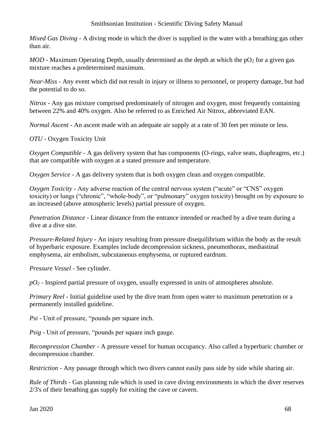*Mixed Gas Diving* - A diving mode in which the diver is supplied in the water with a breathing gas other than air.

*MOD* - Maximum Operating Depth, usually determined as the depth at which the  $pO<sub>2</sub>$  for a given gas mixture reaches a predetermined maximum.

*Near-Miss* - Any event which did not result in injury or illness to personnel, or property damage, but had the potential to do so.

*Nitrox* - Any gas mixture comprised predominately of nitrogen and oxygen, most frequently containing between 22% and 40% oxygen. Also be referred to as Enriched Air Nitrox, abbreviated EAN.

*Normal Ascent* - An ascent made with an adequate air supply at a rate of 30 feet per minute or less.

*OTU* - Oxygen Toxicity Unit

*Oxygen Compatible* - A gas delivery system that has components (O-rings, valve seats, diaphragms, etc.) that are compatible with oxygen at a stated pressure and temperature.

*Oxygen Service* - A gas delivery system that is both oxygen clean and oxygen compatible.

*Oxygen Toxicity* - Any adverse reaction of the central nervous system ("acute" or "CNS" oxygen toxicity) or lungs ("chronic", "whole-body", or "pulmonary" oxygen toxicity) brought on by exposure to an increased (above atmospheric levels) partial pressure of oxygen.

*Penetration Distance* - Linear distance from the entrance intended or reached by a dive team during a dive at a dive site.

*Pressure-Related Injury - An injury resulting from pressure disequilibrium within the body as the result* of hyperbaric exposure. Examples include decompression sickness, pneumothorax, mediastinal emphysema, air embolism, subcutaneous emphysema, or ruptured eardrum.

*Pressure Vessel* - See cylinder.

*pO<sup>2</sup>* - Inspired partial pressure of oxygen, usually expressed in units of atmospheres absolute.

*Primary Reel* - Initial guideline used by the dive team from open water to maximum penetration or a permanently installed guideline.

*Psi* - Unit of pressure, "pounds per square inch.

*Psig* - Unit of pressure, "pounds per square inch gauge.

*Recompression Chamber* - A pressure vessel for human occupancy. Also called a hyperbaric chamber or decompression chamber.

*Restriction* - Any passage through which two divers cannot easily pass side by side while sharing air.

*Rule of Thirds* - Gas planning rule which is used in cave diving environments in which the diver reserves 2/3's of their breathing gas supply for exiting the cave or cavern.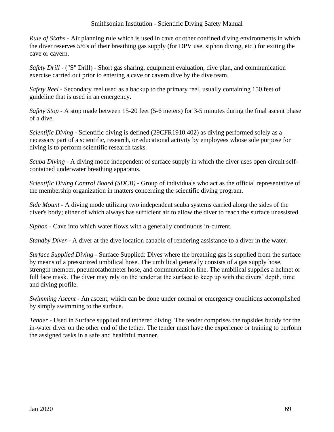*Rule of Sixths* - Air planning rule which is used in cave or other confined diving environments in which the diver reserves 5/6's of their breathing gas supply (for DPV use, siphon diving, etc.) for exiting the cave or cavern.

*Safety Drill* - ("S" Drill) - Short gas sharing, equipment evaluation, dive plan, and communication exercise carried out prior to entering a cave or cavern dive by the dive team.

*Safety Reel* - Secondary reel used as a backup to the primary reel, usually containing 150 feet of guideline that is used in an emergency.

*Safety Stop* - A stop made between 15-20 feet (5-6 meters) for 3-5 minutes during the final ascent phase of a dive.

*Scientific Diving* - Scientific diving is defined (29CFR1910.402) as diving performed solely as a necessary part of a scientific, research, or educational activity by employees whose sole purpose for diving is to perform scientific research tasks.

*Scuba Diving* - A diving mode independent of surface supply in which the diver uses open circuit selfcontained underwater breathing apparatus.

*Scientific Diving Control Board (SDCB)* - Group of individuals who act as the official representative of the membership organization in matters concerning the scientific diving program.

*Side Mount* - A diving mode utilizing two independent scuba systems carried along the sides of the diver's body; either of which always has sufficient air to allow the diver to reach the surface unassisted.

*Siphon* - Cave into which water flows with a generally continuous in-current.

*Standby Diver* - A diver at the dive location capable of rendering assistance to a diver in the water.

*Surface Supplied Diving* - Surface Supplied: Dives where the breathing gas is supplied from the surface by means of a pressurized umbilical hose. The umbilical generally consists of a gas supply hose, strength member, pneumofathometer hose, and communication line. The umbilical supplies a helmet or full face mask. The diver may rely on the tender at the surface to keep up with the divers' depth, time and diving profile.

*Swimming Ascent* - An ascent, which can be done under normal or emergency conditions accomplished by simply swimming to the surface.

*Tender -* Used in Surface supplied and tethered diving. The tender comprises the topsides buddy for the in-water diver on the other end of the tether. The tender must have the experience or training to perform the assigned tasks in a safe and healthful manner.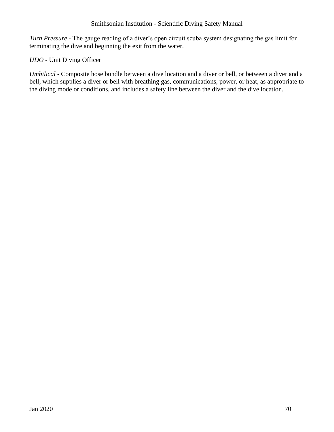*Turn Pressure* - The gauge reading of a diver's open circuit scuba system designating the gas limit for terminating the dive and beginning the exit from the water.

# *UDO* - Unit Diving Officer

*Umbilical* - Composite hose bundle between a dive location and a diver or bell, or between a diver and a bell, which supplies a diver or bell with breathing gas, communications, power, or heat, as appropriate to the diving mode or conditions, and includes a safety line between the diver and the dive location.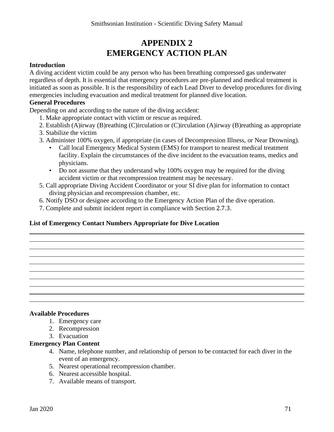# **APPENDIX 2 EMERGENCY ACTION PLAN**

#### **Introduction**

A diving accident victim could be any person who has been breathing compressed gas underwater regardless of depth. It is essential that emergency procedures are pre-planned and medical treatment is initiated as soon as possible. It is the responsibility of each Lead Diver to develop procedures for diving emergencies including evacuation and medical treatment for planned dive location.

#### **General Procedures**

Depending on and according to the nature of the diving accident:

- 1. Make appropriate contact with victim or rescue as required.
- 2. Establish (A)irway (B)reathing (C)irculation or (C)irculation (A)irway (B)reathing as appropriate
- 3. Stabilize the victim
- 3. Administer 100% oxygen, if appropriate (in cases of Decompression Illness, or Near Drowning).
	- Call local Emergency Medical System (EMS) for transport to nearest medical treatment facility. Explain the circumstances of the dive incident to the evacuation teams, medics and physicians.
	- Do not assume that they understand why 100% oxygen may be required for the diving accident victim or that recompression treatment may be necessary.
- 5. Call appropriate Diving Accident Coordinator or your SI dive plan for information to contact diving physician and recompression chamber, etc.
- 6. Notify DSO or designee according to the Emergency Action Plan of the dive operation.
- 7. Complete and submit incident report in compliance with Section 2.7.3.

#### **List of Emergency Contact Numbers Appropriate for Dive Location**

#### **Available Procedures**

- 1. Emergency care
- 2. Recompression
- 3. Evacuation

#### **Emergency Plan Content**

- 4. Name, telephone number, and relationship of person to be contacted for each diver in the event of an emergency.
- 5. Nearest operational recompression chamber.
- 6. Nearest accessible hospital.
- 7. Available means of transport.